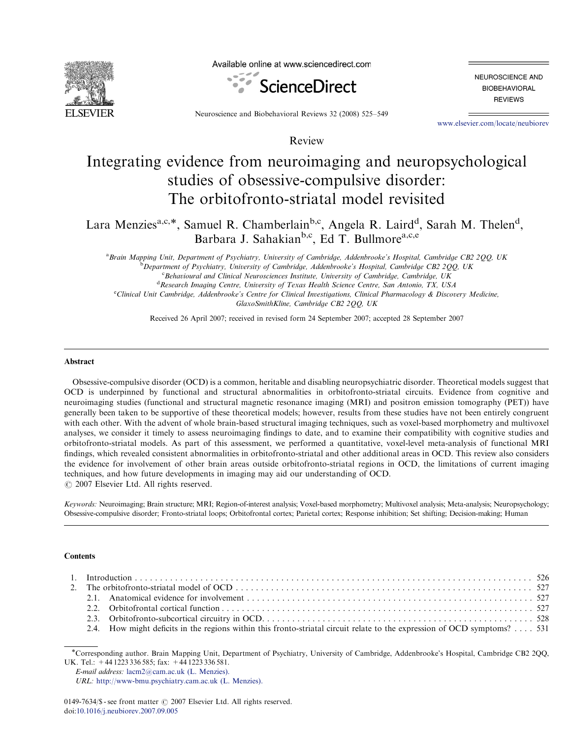

Available online at www.sciencedirect.com



NEUROSCIENCE AND **BIOBEHAVIORAL REVIEWS** 

Neuroscience and Biobehavioral Reviews 32 (2008) 525–549

www.elsevier.com/locate/neubiorev

Review

# Integrating evidence from neuroimaging and neuropsychological studies of obsessive-compulsive disorder: The orbitofronto-striatal model revisited

Lara Menzies<sup>a,c,\*</sup>, Samuel R. Chamberlain<sup>b,c</sup>, Angela R. Laird<sup>d</sup>, Sarah M. Thelen<sup>d</sup>, Barbara J. Sahakian<sup>b,c</sup>, Ed T. Bullmore<sup>a,c,e</sup>

a<br>Brain Mapping Unit, Department of Psychiatry, University of Cambridge, Addenbrooke's Hospital, Cambridge CB2 200, UK<br>b Department of Psychiatry, University of Cambridge, Addenbrooke's Hospital, Cambridge CB2 200, UK  $^{\text{b}}$ Department of Psychiatry, University of Cambridge, Addenbrooke's Hospital, Cambridge CB2 2QQ, UK  $^{\text{c}}$ Behavioural and Clinical Neurosciences Institute, University of Cambridge, Cambridge, UK <sup>c</sup> Behavioural and Clinical Neurosciences Institute, University of Cambridge, Cambridge, UK<br><sup>d</sup> Besearch Imagina Cantra, University of Taxas Haglib Science Cantra, San Antonio, T.Y. US Research Imaging Centre, University of Texas Health Science Centre, San Antonio, TX, USA<br>Clinical Unit Cambridge, Addeptrocka's Centre for Clinical Investigations, Clinical Pharmacology & Digeor® <sup>e</sup>Clinical Unit Cambridge, Addenbrooke's Centre for Clinical Investigations, Clinical Pharmacology & Discovery Medicine, GlaxoSmithKline, Cambridge CB2 2QQ, UK

Received 26 April 2007; received in revised form 24 September 2007; accepted 28 September 2007

#### Abstract

Obsessive-compulsive disorder (OCD) is a common, heritable and disabling neuropsychiatric disorder. Theoretical models suggest that OCD is underpinned by functional and structural abnormalities in orbitofronto-striatal circuits. Evidence from cognitive and neuroimaging studies (functional and structural magnetic resonance imaging (MRI) and positron emission tomography (PET)) have generally been taken to be supportive of these theoretical models; however, results from these studies have not been entirely congruent with each other. With the advent of whole brain-based structural imaging techniques, such as voxel-based morphometry and multivoxel analyses, we consider it timely to assess neuroimaging findings to date, and to examine their compatibility with cognitive studies and orbitofronto-striatal models. As part of this assessment, we performed a quantitative, voxel-level meta-analysis of functional MRI findings, which revealed consistent abnormalities in orbitofronto-striatal and other additional areas in OCD. This review also considers the evidence for involvement of other brain areas outside orbitofronto-striatal regions in OCD, the limitations of current imaging techniques, and how future developments in imaging may aid our understanding of OCD.  $\odot$  2007 Elsevier Ltd. All rights reserved.

Keywords: Neuroimaging; Brain structure; MRI; Region-of-interest analysis; Voxel-based morphometry; Multivoxel analysis; Meta-analysis; Neuropsychology; Obsessive-compulsive disorder; Fronto-striatal loops; Orbitofrontal cortex; Parietal cortex; Response inhibition; Set shifting; Decision-making; Human

#### **Contents**

|  | 2.4. How might deficits in the regions within this fronto-striatal circuit relate to the expression of OCD symptoms? 531 |  |
|--|--------------------------------------------------------------------------------------------------------------------------|--|

<sup>!</sup>Corresponding author. Brain Mapping Unit, Department of Psychiatry, University of Cambridge, Addenbrooke's Hospital, Cambridge CB2 2QQ, UK. Tel.: +44 1223 336 585; fax: +44 1223 336 581.

E-mail address: lacm2@cam.ac.uk (L. Menzies).

URL: http://www-bmu.psychiatry.cam.ac.uk (L. Menzies).

<sup>0149-7634/\$ -</sup> see front matter  $\odot$  2007 Elsevier Ltd. All rights reserved. doi:10.1016/j.neubiorev.2007.09.005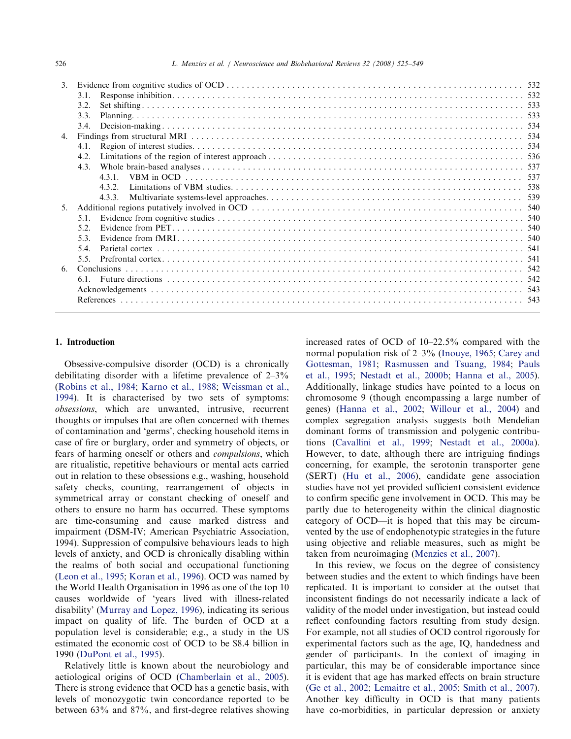| $\mathfrak{Z}$ . |        |  |
|------------------|--------|--|
|                  | 3.1.   |  |
|                  | 3.2.   |  |
|                  | 3.3.   |  |
|                  | 3.4.   |  |
| 4.               |        |  |
|                  | 4.1.   |  |
|                  | 4.2.   |  |
|                  | 4.3.   |  |
|                  | 4.3.1  |  |
|                  | 4.3.2. |  |
|                  | 4.3.3. |  |
| 5.               |        |  |
|                  | 5.1    |  |
|                  | 52     |  |
|                  | 53     |  |
|                  | 5.4.   |  |
|                  | 55     |  |
| 6.               |        |  |
|                  |        |  |
|                  |        |  |
|                  |        |  |
|                  |        |  |

# 1. Introduction

Obsessive-compulsive disorder (OCD) is a chronically debilitating disorder with a lifetime prevalence of 2–3% (Robins et al., 1984; Karno et al., 1988; Weissman et al., 1994). It is characterised by two sets of symptoms: obsessions, which are unwanted, intrusive, recurrent thoughts or impulses that are often concerned with themes of contamination and 'germs', checking household items in case of fire or burglary, order and symmetry of objects, or fears of harming oneself or others and compulsions, which are ritualistic, repetitive behaviours or mental acts carried out in relation to these obsessions e.g., washing, household safety checks, counting, rearrangement of objects in symmetrical array or constant checking of oneself and others to ensure no harm has occurred. These symptoms are time-consuming and cause marked distress and impairment (DSM-IV; American Psychiatric Association, 1994). Suppression of compulsive behaviours leads to high levels of anxiety, and OCD is chronically disabling within the realms of both social and occupational functioning (Leon et al., 1995; Koran et al., 1996). OCD was named by the World Health Organisation in 1996 as one of the top 10 causes worldwide of 'years lived with illness-related disability' (Murray and Lopez, 1996), indicating its serious impact on quality of life. The burden of OCD at a population level is considerable; e.g., a study in the US estimated the economic cost of OCD to be \$8.4 billion in 1990 (DuPont et al., 1995).

Relatively little is known about the neurobiology and aetiological origins of OCD (Chamberlain et al., 2005). There is strong evidence that OCD has a genetic basis, with levels of monozygotic twin concordance reported to be between 63% and 87%, and first-degree relatives showing increased rates of OCD of 10–22.5% compared with the normal population risk of 2–3% (Inouye, 1965; Carey and Gottesman, 1981; Rasmussen and Tsuang, 1984; Pauls et al., 1995; Nestadt et al., 2000b; Hanna et al., 2005). Additionally, linkage studies have pointed to a locus on chromosome 9 (though encompassing a large number of genes) (Hanna et al., 2002; Willour et al., 2004) and complex segregation analysis suggests both Mendelian dominant forms of transmission and polygenic contributions (Cavallini et al., 1999; Nestadt et al., 2000a). However, to date, although there are intriguing findings concerning, for example, the serotonin transporter gene (SERT) (Hu et al., 2006), candidate gene association studies have not yet provided sufficient consistent evidence to confirm specific gene involvement in OCD. This may be partly due to heterogeneity within the clinical diagnostic category of OCD—it is hoped that this may be circumvented by the use of endophenotypic strategies in the future using objective and reliable measures, such as might be taken from neuroimaging (Menzies et al., 2007).

In this review, we focus on the degree of consistency between studies and the extent to which findings have been replicated. It is important to consider at the outset that inconsistent findings do not necessarily indicate a lack of validity of the model under investigation, but instead could reflect confounding factors resulting from study design. For example, not all studies of OCD control rigorously for experimental factors such as the age, IQ, handedness and gender of participants. In the context of imaging in particular, this may be of considerable importance since it is evident that age has marked effects on brain structure (Ge et al., 2002; Lemaitre et al., 2005; Smith et al., 2007). Another key difficulty in OCD is that many patients have co-morbidities, in particular depression or anxiety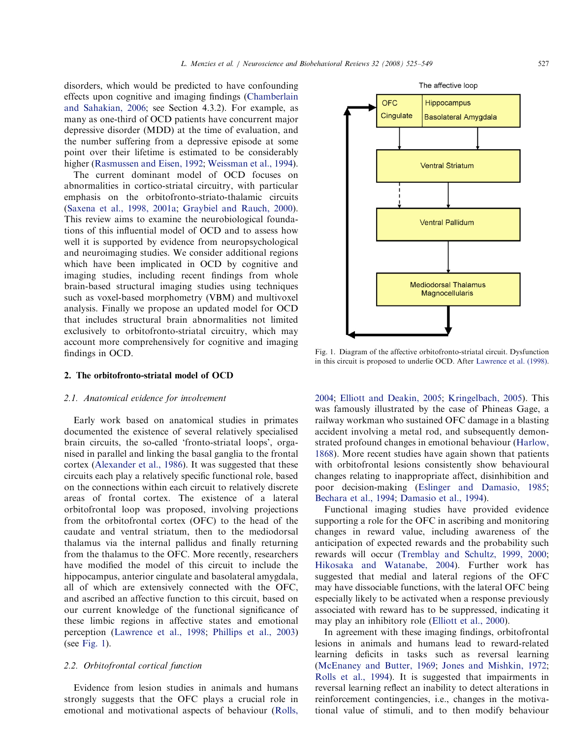disorders, which would be predicted to have confounding effects upon cognitive and imaging findings (Chamberlain and Sahakian, 2006; see Section 4.3.2). For example, as many as one-third of OCD patients have concurrent major depressive disorder (MDD) at the time of evaluation, and the number suffering from a depressive episode at some point over their lifetime is estimated to be considerably higher (Rasmussen and Eisen, 1992; Weissman et al., 1994).

The current dominant model of OCD focuses on abnormalities in cortico-striatal circuitry, with particular emphasis on the orbitofronto-striato-thalamic circuits (Saxena et al., 1998, 2001a; Graybiel and Rauch, 2000). This review aims to examine the neurobiological foundations of this influential model of OCD and to assess how well it is supported by evidence from neuropsychological and neuroimaging studies. We consider additional regions which have been implicated in OCD by cognitive and imaging studies, including recent findings from whole brain-based structural imaging studies using techniques such as voxel-based morphometry (VBM) and multivoxel analysis. Finally we propose an updated model for OCD that includes structural brain abnormalities not limited exclusively to orbitofronto-striatal circuitry, which may account more comprehensively for cognitive and imaging findings in OCD.

# 2. The orbitofronto-striatal model of OCD

#### 2.1. Anatomical evidence for involvement

Early work based on anatomical studies in primates documented the existence of several relatively specialised brain circuits, the so-called 'fronto-striatal loops', organised in parallel and linking the basal ganglia to the frontal cortex (Alexander et al., 1986). It was suggested that these circuits each play a relatively specific functional role, based on the connections within each circuit to relatively discrete areas of frontal cortex. The existence of a lateral orbitofrontal loop was proposed, involving projections from the orbitofrontal cortex (OFC) to the head of the caudate and ventral striatum, then to the mediodorsal thalamus via the internal pallidus and finally returning from the thalamus to the OFC. More recently, researchers have modified the model of this circuit to include the hippocampus, anterior cingulate and basolateral amygdala, all of which are extensively connected with the OFC, and ascribed an affective function to this circuit, based on our current knowledge of the functional significance of these limbic regions in affective states and emotional perception (Lawrence et al., 1998; Phillips et al., 2003) (see Fig. 1).

### 2.2. Orbitofrontal cortical function

Evidence from lesion studies in animals and humans strongly suggests that the OFC plays a crucial role in emotional and motivational aspects of behaviour (Rolls,



Fig. 1. Diagram of the affective orbitofronto-striatal circuit. Dysfunction in this circuit is proposed to underlie OCD. After Lawrence et al. (1998).

2004; Elliott and Deakin, 2005; Kringelbach, 2005). This was famously illustrated by the case of Phineas Gage, a railway workman who sustained OFC damage in a blasting accident involving a metal rod, and subsequently demonstrated profound changes in emotional behaviour (Harlow, 1868). More recent studies have again shown that patients with orbitofrontal lesions consistently show behavioural changes relating to inappropriate affect, disinhibition and poor decision-making (Eslinger and Damasio, 1985; Bechara et al., 1994; Damasio et al., 1994).

Functional imaging studies have provided evidence supporting a role for the OFC in ascribing and monitoring changes in reward value, including awareness of the anticipation of expected rewards and the probability such rewards will occur (Tremblay and Schultz, 1999, 2000; Hikosaka and Watanabe, 2004). Further work has suggested that medial and lateral regions of the OFC may have dissociable functions, with the lateral OFC being especially likely to be activated when a response previously associated with reward has to be suppressed, indicating it may play an inhibitory role (Elliott et al., 2000).

In agreement with these imaging findings, orbitofrontal lesions in animals and humans lead to reward-related learning deficits in tasks such as reversal learning (McEnaney and Butter, 1969; Jones and Mishkin, 1972; Rolls et al., 1994). It is suggested that impairments in reversal learning reflect an inability to detect alterations in reinforcement contingencies, i.e., changes in the motivational value of stimuli, and to then modify behaviour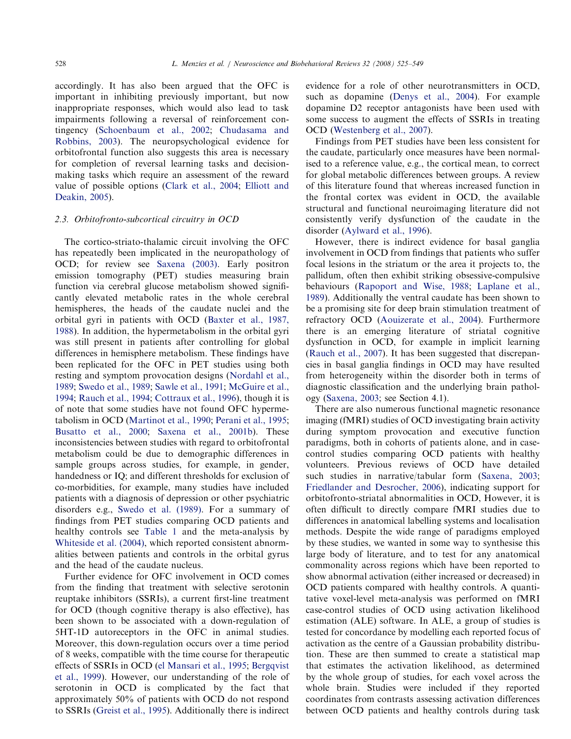accordingly. It has also been argued that the OFC is important in inhibiting previously important, but now inappropriate responses, which would also lead to task impairments following a reversal of reinforcement contingency (Schoenbaum et al., 2002; Chudasama and Robbins, 2003). The neuropsychological evidence for orbitofrontal function also suggests this area is necessary for completion of reversal learning tasks and decisionmaking tasks which require an assessment of the reward value of possible options (Clark et al., 2004; Elliott and Deakin, 2005).

#### 2.3. Orbitofronto-subcortical circuitry in OCD

The cortico-striato-thalamic circuit involving the OFC has repeatedly been implicated in the neuropathology of OCD; for review see Saxena (2003). Early positron emission tomography (PET) studies measuring brain function via cerebral glucose metabolism showed significantly elevated metabolic rates in the whole cerebral hemispheres, the heads of the caudate nuclei and the orbital gyri in patients with OCD (Baxter et al., 1987, 1988). In addition, the hypermetabolism in the orbital gyri was still present in patients after controlling for global differences in hemisphere metabolism. These findings have been replicated for the OFC in PET studies using both resting and symptom provocation designs (Nordahl et al., 1989; Swedo et al., 1989; Sawle et al., 1991; McGuire et al., 1994; Rauch et al., 1994; Cottraux et al., 1996), though it is of note that some studies have not found OFC hypermetabolism in OCD (Martinot et al., 1990; Perani et al., 1995; Busatto et al., 2000; Saxena et al., 2001b). These inconsistencies between studies with regard to orbitofrontal metabolism could be due to demographic differences in sample groups across studies, for example, in gender, handedness or IQ; and different thresholds for exclusion of co-morbidities, for example, many studies have included patients with a diagnosis of depression or other psychiatric disorders e.g., Swedo et al. (1989). For a summary of findings from PET studies comparing OCD patients and healthy controls see Table 1 and the meta-analysis by Whiteside et al. (2004), which reported consistent abnormalities between patients and controls in the orbital gyrus and the head of the caudate nucleus.

Further evidence for OFC involvement in OCD comes from the finding that treatment with selective serotonin reuptake inhibitors (SSRIs), a current first-line treatment for OCD (though cognitive therapy is also effective), has been shown to be associated with a down-regulation of 5HT-1D autoreceptors in the OFC in animal studies. Moreover, this down-regulation occurs over a time period of 8 weeks, compatible with the time course for therapeutic effects of SSRIs in OCD (el Mansari et al., 1995; Bergqvist et al., 1999). However, our understanding of the role of serotonin in OCD is complicated by the fact that approximately 50% of patients with OCD do not respond to SSRIs (Greist et al., 1995). Additionally there is indirect

evidence for a role of other neurotransmitters in OCD, such as dopamine (Denys et al., 2004). For example dopamine D2 receptor antagonists have been used with some success to augment the effects of SSRIs in treating OCD (Westenberg et al., 2007).

Findings from PET studies have been less consistent for the caudate, particularly once measures have been normalised to a reference value, e.g., the cortical mean, to correct for global metabolic differences between groups. A review of this literature found that whereas increased function in the frontal cortex was evident in OCD, the available structural and functional neuroimaging literature did not consistently verify dysfunction of the caudate in the disorder (Aylward et al., 1996).

However, there is indirect evidence for basal ganglia involvement in OCD from findings that patients who suffer focal lesions in the striatum or the area it projects to, the pallidum, often then exhibit striking obsessive-compulsive behaviours (Rapoport and Wise, 1988; Laplane et al., 1989). Additionally the ventral caudate has been shown to be a promising site for deep brain stimulation treatment of refractory OCD (Aouizerate et al., 2004). Furthermore there is an emerging literature of striatal cognitive dysfunction in OCD, for example in implicit learning (Rauch et al., 2007). It has been suggested that discrepancies in basal ganglia findings in OCD may have resulted from heterogeneity within the disorder both in terms of diagnostic classification and the underlying brain pathology (Saxena, 2003; see Section 4.1).

There are also numerous functional magnetic resonance imaging (fMRI) studies of OCD investigating brain activity during symptom provocation and executive function paradigms, both in cohorts of patients alone, and in casecontrol studies comparing OCD patients with healthy volunteers. Previous reviews of OCD have detailed such studies in narrative/tabular form (Saxena, 2003; Friedlander and Desrocher, 2006), indicating support for orbitofronto-striatal abnormalities in OCD, However, it is often difficult to directly compare fMRI studies due to differences in anatomical labelling systems and localisation methods. Despite the wide range of paradigms employed by these studies, we wanted in some way to synthesise this large body of literature, and to test for any anatomical commonality across regions which have been reported to show abnormal activation (either increased or decreased) in OCD patients compared with healthy controls. A quantitative voxel-level meta-analysis was performed on fMRI case-control studies of OCD using activation likelihood estimation (ALE) software. In ALE, a group of studies is tested for concordance by modelling each reported focus of activation as the centre of a Gaussian probability distribution. These are then summed to create a statistical map that estimates the activation likelihood, as determined by the whole group of studies, for each voxel across the whole brain. Studies were included if they reported coordinates from contrasts assessing activation differences between OCD patients and healthy controls during task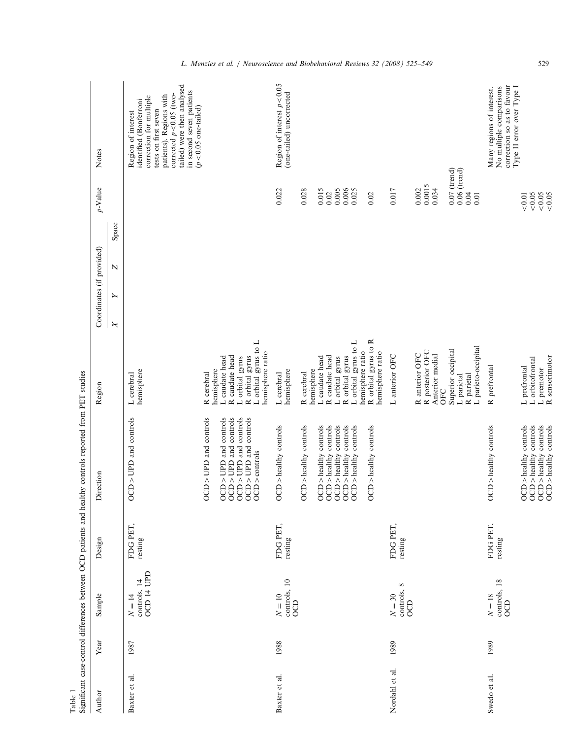|                |      |                                                         |                     | Significant case-control differences between OCD patients and healthy controls reported from PET studies                                                                                               |                                                                                                                                  |                           |                                                  |                                                                                                                                                                                                                                             |  |
|----------------|------|---------------------------------------------------------|---------------------|--------------------------------------------------------------------------------------------------------------------------------------------------------------------------------------------------------|----------------------------------------------------------------------------------------------------------------------------------|---------------------------|--------------------------------------------------|---------------------------------------------------------------------------------------------------------------------------------------------------------------------------------------------------------------------------------------------|--|
| Author         | Year | Sample                                                  | Design              | Direction                                                                                                                                                                                              | Region                                                                                                                           | Coordinates (if provided) | $p$ -Value                                       | Notes                                                                                                                                                                                                                                       |  |
|                |      |                                                         |                     |                                                                                                                                                                                                        |                                                                                                                                  | N<br>≻<br>×               | Space                                            |                                                                                                                                                                                                                                             |  |
| Baxter et al.  | 1987 | OCD 14 UPD<br>controls, 14<br>$N = 14$                  | FDG PET,<br>resting | $OCD > UPD$ and controls                                                                                                                                                                               | hemisphere<br>L cerebral                                                                                                         |                           |                                                  | tailed) were then analysed<br>in second seven patients<br>corrected $p < 0.05$ (two-<br>patients). Regions with<br>correction for multiple<br>identified (Bonferroni<br>$(p<0.05$ one-tailed)<br>tests on first seven<br>Region of interest |  |
|                |      |                                                         |                     | $OCD > UPD$ and controls                                                                                                                                                                               | R cerebral                                                                                                                       |                           |                                                  |                                                                                                                                                                                                                                             |  |
|                |      |                                                         |                     | $\text{OCD} > \text{UPD}$ and controls<br>$\text{OCD} > \text{UPD}$ and controls<br>$\text{OCD} > \text{UPD}$ and controls<br>$\text{OCD} > \text{UPD}$ and controls<br>$\text{OCD} > \text{controls}$ | L orbital gyrus to L<br>hemisphere ratio<br>R caudate head<br>R orbital gyrus<br>L caudate head<br>L orbital gyrus<br>hemisphere |                           |                                                  |                                                                                                                                                                                                                                             |  |
| Baxter et al.  | 1988 | controls, 10<br>${\cal N}=10$<br>$rac{1}{2}$            | FDG PET,<br>resting | OCD > healthy controls                                                                                                                                                                                 | hemisphere<br>L cerebral                                                                                                         |                           | 0.022                                            | Region of interest $p < 0.05$<br>(one-tailed) uncorrected                                                                                                                                                                                   |  |
|                |      |                                                         |                     | OCD > healthy controls                                                                                                                                                                                 | R cerebral                                                                                                                       |                           | 0.028                                            |                                                                                                                                                                                                                                             |  |
|                |      |                                                         |                     |                                                                                                                                                                                                        | L caudate head<br>hemisphere                                                                                                     |                           | 0.015                                            |                                                                                                                                                                                                                                             |  |
|                |      |                                                         |                     | OCD > healthy controls<br>OCD > healthy controls<br>OCD > healthy controls<br>OCD > healthy controls<br>OCD > healthy controls                                                                         | R caudate head                                                                                                                   |                           | 0.02                                             |                                                                                                                                                                                                                                             |  |
|                |      |                                                         |                     |                                                                                                                                                                                                        | R orbital gyrus<br>${\cal L}$ orbital gyrus                                                                                      |                           | 0.005<br>0.006                                   |                                                                                                                                                                                                                                             |  |
|                |      |                                                         |                     |                                                                                                                                                                                                        | L orbital gyrus to L<br>hemisphere ratio                                                                                         |                           | 0.025                                            |                                                                                                                                                                                                                                             |  |
|                |      |                                                         |                     | $OCD >$ healthy controls                                                                                                                                                                               | R orbital gyrus to R<br>hemisphere ratio                                                                                         |                           | 0.02                                             |                                                                                                                                                                                                                                             |  |
| Nordahl et al. | 1989 | ${}^{\circ}$<br>controls,<br>$N = 30$<br><b>CCD</b>     | FDG PET,<br>resting |                                                                                                                                                                                                        | L anterior OFC                                                                                                                   |                           | 0.017                                            |                                                                                                                                                                                                                                             |  |
|                |      |                                                         |                     |                                                                                                                                                                                                        | R posterior OFC<br>R anterior OFC<br>Anterior medial<br>OFC                                                                      |                           | 0.0015<br>0.002<br>0.034                         |                                                                                                                                                                                                                                             |  |
|                |      |                                                         |                     |                                                                                                                                                                                                        | L parieto-occipital<br>Superior occipital<br>L parietal<br>R parietal                                                            |                           | 0.04<br>0.01                                     | $0.07$ (trend)<br>$0.06$ (trend)                                                                                                                                                                                                            |  |
| Swedo et al.   | 1989 | $\stackrel{\rm controls,~18}{\rm OCD}$<br>${\cal N}=18$ | FDG PET,<br>resting | OCD > healthy controls                                                                                                                                                                                 | R prefrontal                                                                                                                     |                           |                                                  | correction so as to favour<br>No multiple comparisons<br>Many regions of interest.                                                                                                                                                          |  |
|                |      |                                                         |                     | OCD > healthy controls<br>OCD > healthy controls<br>OCD > healthy controls<br>OCD > healthy controls                                                                                                   | R sensorimotor<br>L orbitofrontal<br>L prefrontal<br>L premotor                                                                  |                           | $\frac{50.05}{50.05}$<br>${}_{<0.05}$<br>$<0.01$ | Type II error over Type I                                                                                                                                                                                                                   |  |

Table 1

L. Menzies et al. / Neuroscience and Biobehavioral Reviews 32 (2008) 525-549 529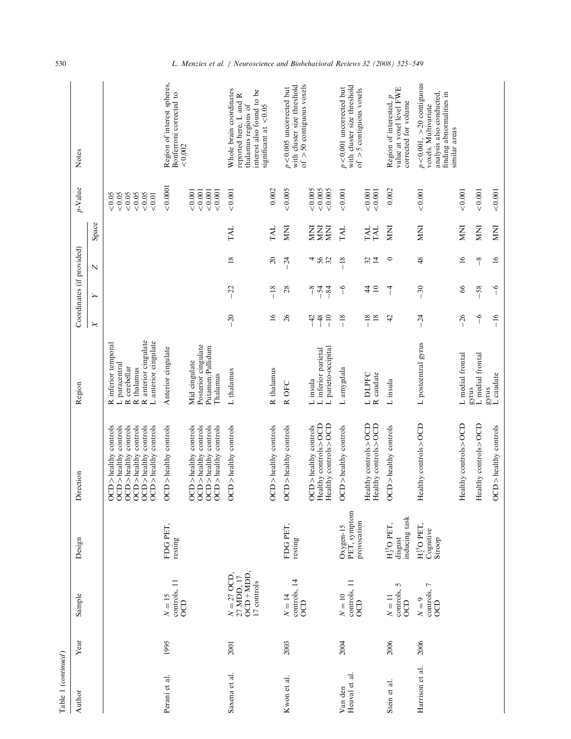| Table 1 (continued)      |      |                                                             |                                                           |                                                                                                                                                                                                             |                                                                                                                                                                        |                           |                           |                      |                         |                                                                                   |                                                                                                                                  |
|--------------------------|------|-------------------------------------------------------------|-----------------------------------------------------------|-------------------------------------------------------------------------------------------------------------------------------------------------------------------------------------------------------------|------------------------------------------------------------------------------------------------------------------------------------------------------------------------|---------------------------|---------------------------|----------------------|-------------------------|-----------------------------------------------------------------------------------|----------------------------------------------------------------------------------------------------------------------------------|
| Author                   | Year | Sample                                                      | Design                                                    | Direction                                                                                                                                                                                                   | Region                                                                                                                                                                 |                           | Coordinates (if provided) |                      |                         | $p$ -Value                                                                        | Notes                                                                                                                            |
|                          |      |                                                             |                                                           |                                                                                                                                                                                                             |                                                                                                                                                                        | $\overline{\mathbf{X}}$   | ≻                         | N                    | Space                   |                                                                                   |                                                                                                                                  |
|                          |      |                                                             |                                                           | OCD > healthy controls<br>OCD > healthy controls<br>$\text{OCD} > \text{health}$ y controls<br>$\text{OCD} > \text{health}$ y controls<br>$\text{OCD} > \text{health}$ y controls<br>OCD > healthy controls | anterior cingulate<br>anterior cingulate<br>R inferior temporal<br>paracentral<br>cerebellar<br>thalamus<br>$\overline{\phantom{0}}$<br>$\approx \approx$<br>$\propto$ |                           |                           |                      |                         | ${}_{<0.05}$<br>${}_{0.05}$<br>< 0.05<br>${}_{<0.05}$<br>${}_{<0.05}$<br>$< 0.01$ |                                                                                                                                  |
| Perani et al.            | 1995 | controls, 11<br>$N = 15$<br><b>CD</b>                       | FDG PET.<br>resting                                       | $CD >$ healthy controls<br>OCD > healthy controls<br>OCD > healthy controls<br>OCD > healthy controls<br>OCD > healthy controls<br>O                                                                        | Posterior cingulate<br>Putamen/Pallidum<br>Anterior cingulate<br>Mid cingulate<br>Thalamus                                                                             |                           |                           |                      |                         | < 0.0001<br>${}_{<0.001}$<br>${}_{0.001}$<br>${}_{<0.001}$<br>${}_{0.001}$        | Region of interest spheres,<br>Bonferroni corrected to<br>< 0.002                                                                |
| Saxena et al.            | 2001 | $OCD + MDD$ ,<br>$N = 27$ OCD,<br>27 MDD, 17<br>17 controls |                                                           | OCD > healthy controls                                                                                                                                                                                      | L thalamus                                                                                                                                                             | $-20$                     | $-22$                     | 18                   | <b>TAL</b>              | ${}_{0.001}$                                                                      | Whole brain coordinates<br>interest also found to be<br>reported here, L and R<br>thalamus regions of<br>significant at $< 0.05$ |
|                          |      |                                                             |                                                           | OCD > healthy controls                                                                                                                                                                                      | R thalamus                                                                                                                                                             | $\overline{16}$           | $-18$                     | $\Omega$             | TAL                     | 0.002                                                                             |                                                                                                                                  |
| Kwon et al.              | 2003 | controls, 14<br>$N = 14$<br>CO <sub>O</sub>                 | FDG PET,<br>resting                                       | CD > healthy controls<br>$\circ$                                                                                                                                                                            | R OFC                                                                                                                                                                  | 26                        | 28                        | $-24$                | <b>MNI</b>              | &0.005                                                                            | of >50 contiguous voxels<br>with cluster size threshold<br>$p<0.005$ uncorrected but                                             |
|                          |      |                                                             |                                                           | lealthy controls > OCD<br>lealthy controls > OCD<br>OCD > healthy controls<br>円<br>圧                                                                                                                        | parieto-occipital<br>L inferior parietal<br>L insula<br>$\overline{a}$                                                                                                 | $-42$<br>$-48$<br>$-10$   | $-8$<br>$-54$<br>$-84$    | 56<br>4              | <b>NNI</b><br>NNI<br>МN | &0.005<br>${}_{<0.005}$<br>${}_{<0.005}$                                          |                                                                                                                                  |
| Heuval et al.<br>Van den | 2004 | controls, 11<br>OCD<br>$N = 10$                             | PET, symptom<br>provocation<br>Oxygen-15                  | OCD > healthy controls                                                                                                                                                                                      | amygdala<br>$\overline{\phantom{0}}$                                                                                                                                   | $-18$                     | $\widetilde{\phantom{a}}$ | $-18$                | LAL                     | ${}_{<0.001}$                                                                     | with cluster size threshold<br>$p < 0.001$ uncorrected but<br>of $>$ 5 contiguous voxels                                         |
|                          |      |                                                             |                                                           | lealthy controls > OCD<br>lealthy controls > OCD<br>工<br>円                                                                                                                                                  | caudate<br>L DLPFC<br>$\approx$                                                                                                                                        | $-18$<br>$18\,$           | 4<br>$\overline{10}$      | 32<br>$\overline{1}$ | <b>TAL</b><br>TAL       | ${}_{<0.001}$<br>${}_{<0.001}$                                                    |                                                                                                                                  |
| Stein et al.             | 2006 | $\sim$<br>controls,<br>$N = 11$<br>$rac{1}{2}$              | inducing task<br>$H_2^{15}O$ PET<br>disgust               | OCD > healthy controls                                                                                                                                                                                      | L insula                                                                                                                                                               | 42                        | $\frac{4}{1}$             | $\circ$              | <b>NNI</b>              | 0.002                                                                             | value at voxel level FWE<br>Region of interested, $p$<br>corrected for volume                                                    |
| Harrison et al.          | 2006 | $\rm{controls},\ 7$<br>${\cal N}=9$<br>$rac{1}{2}$          | $\mathrm{H}_2^{15}\mathrm{O}$ PET,<br>Cognitive<br>Stroop | lealthy controls > OCD<br>工                                                                                                                                                                                 | L postcentral gyrus                                                                                                                                                    | $-24$                     | $-30$                     | 48                   | <b>NNI</b>              | < 0.001                                                                           | $p < 0.001$ , $> 20$ contiguous<br>analysis also conducted,<br>finding abnormalities in<br>voxels. Multivariate                  |
|                          |      |                                                             |                                                           | ealthy controls > OCD<br>工                                                                                                                                                                                  | L medial frontal                                                                                                                                                       | $-26$                     | $\infty$                  | $\overline{16}$      | <b>NINI</b>             | ${}_{<0.001}$                                                                     | similar areas                                                                                                                    |
|                          |      |                                                             |                                                           | lealthy controls > OCD<br>ᄑ                                                                                                                                                                                 | L medial frontal<br>gyrus                                                                                                                                              | $\widetilde{\phantom{0}}$ | 58                        | $\infty$             | <b>NI</b>               | ${}_{0.001}$                                                                      |                                                                                                                                  |
|                          |      |                                                             |                                                           | OCD > healthy controls                                                                                                                                                                                      | gyrus<br>L caudate                                                                                                                                                     | $-16$                     | $\widetilde{\mathcal{C}}$ | 16                   | <b>NINI</b>             | ${}_{0.001}$                                                                      |                                                                                                                                  |

# 530 L. Menzies et al. / Neuroscience and Biobehavioral Reviews 32 (2008) 525–549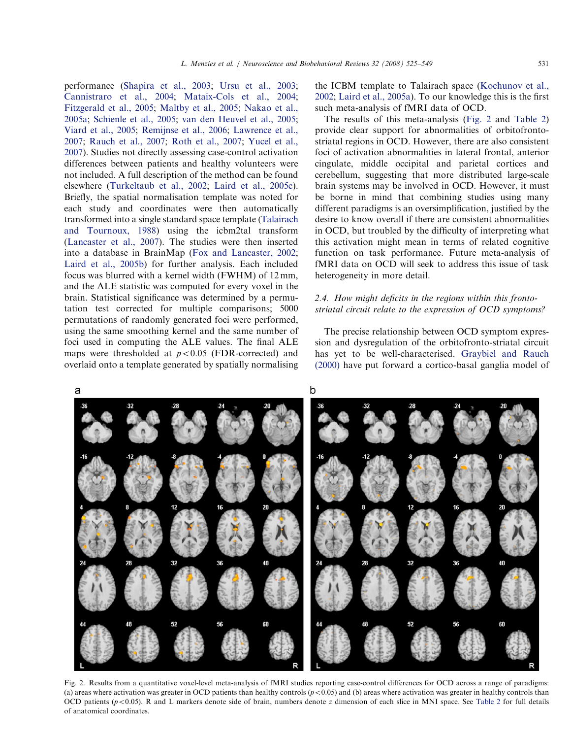performance (Shapira et al., 2003; Ursu et al., 2003; Cannistraro et al., 2004; Mataix-Cols et al., 2004; Fitzgerald et al., 2005; Maltby et al., 2005; Nakao et al., 2005a; Schienle et al., 2005; van den Heuvel et al., 2005; Viard et al., 2005; Remijnse et al., 2006; Lawrence et al., 2007; Rauch et al., 2007; Roth et al., 2007; Yucel et al., 2007). Studies not directly assessing case-control activation differences between patients and healthy volunteers were not included. A full description of the method can be found elsewhere (Turkeltaub et al., 2002; Laird et al., 2005c). Briefly, the spatial normalisation template was noted for each study and coordinates were then automatically transformed into a single standard space template (Talairach and Tournoux, 1988) using the icbm2tal transform (Lancaster et al., 2007). The studies were then inserted into a database in BrainMap (Fox and Lancaster, 2002; Laird et al., 2005b) for further analysis. Each included focus was blurred with a kernel width (FWHM) of 12 mm, and the ALE statistic was computed for every voxel in the brain. Statistical significance was determined by a permutation test corrected for multiple comparisons; 5000 permutations of randomly generated foci were performed, using the same smoothing kernel and the same number of foci used in computing the ALE values. The final ALE maps were thresholded at  $p < 0.05$  (FDR-corrected) and overlaid onto a template generated by spatially normalising

The results of this meta-analysis (Fig. 2 and Table 2) provide clear support for abnormalities of orbitofrontostriatal regions in OCD. However, there are also consistent foci of activation abnormalities in lateral frontal, anterior cingulate, middle occipital and parietal cortices and cerebellum, suggesting that more distributed large-scale brain systems may be involved in OCD. However, it must be borne in mind that combining studies using many different paradigms is an oversimplification, justified by the desire to know overall if there are consistent abnormalities in OCD, but troubled by the difficulty of interpreting what this activation might mean in terms of related cognitive function on task performance. Future meta-analysis of fMRI data on OCD will seek to address this issue of task heterogeneity in more detail.

# 2.4. How might deficits in the regions within this frontostriatal circuit relate to the expression of OCD symptoms?

The precise relationship between OCD symptom expression and dysregulation of the orbitofronto-striatal circuit has yet to be well-characterised. Graybiel and Rauch (2000) have put forward a cortico-basal ganglia model of



Fig. 2. Results from a quantitative voxel-level meta-analysis of fMRI studies reporting case-control differences for OCD across a range of paradigms: (a) areas where activation was greater in OCD patients than healthy controls  $(p<0.05)$  and (b) areas where activation was greater in healthy controls than OCD patients ( $p < 0.05$ ). R and L markers denote side of brain, numbers denote z dimension of each slice in MNI space. See Table 2 for full details of anatomical coordinates.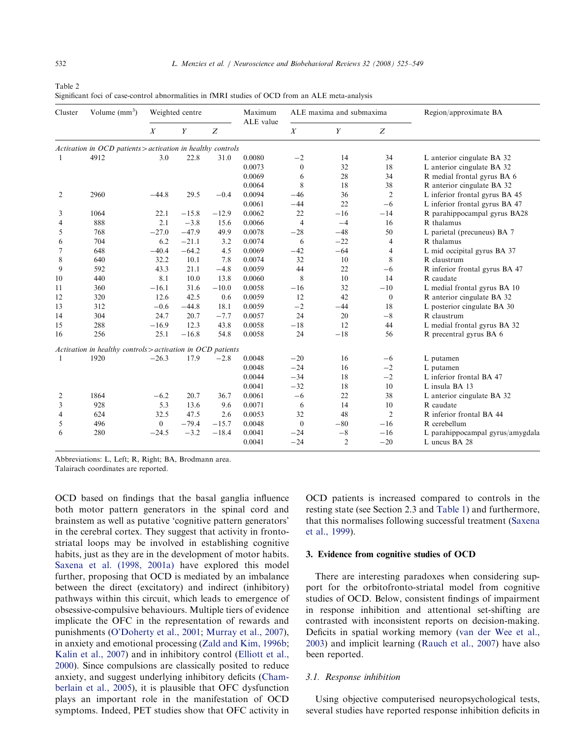| Cluster        | Volume $\text{(mm}^3)$                                      |                  | Weighted centre |         | Maximum   | ALE maxima and submaxima |       |                | Region/approximate BA            |
|----------------|-------------------------------------------------------------|------------------|-----------------|---------|-----------|--------------------------|-------|----------------|----------------------------------|
|                |                                                             | $\boldsymbol{X}$ | Y               | Z       | ALE value | $\boldsymbol{X}$         | Y     | Z              |                                  |
|                | Activation in OCD patients > activation in healthy controls |                  |                 |         |           |                          |       |                |                                  |
| 1              | 4912                                                        | 3.0              | 22.8            | 31.0    | 0.0080    | $-2$                     | 14    | 34             | L anterior cingulate BA 32       |
|                |                                                             |                  |                 |         | 0.0073    | $\mathbf{0}$             | 32    | 18             | L anterior cingulate BA 32       |
|                |                                                             |                  |                 |         | 0.0069    | 6                        | 28    | 34             | R medial frontal gyrus BA 6      |
|                |                                                             |                  |                 |         | 0.0064    | 8                        | 18    | 38             | R anterior cingulate BA 32       |
| 2              | 2960                                                        | $-44.8$          | 29.5            | $-0.4$  | 0.0094    | $-46$                    | 36    | $\overline{2}$ | L inferior frontal gyrus BA 45   |
|                |                                                             |                  |                 |         | 0.0061    | $-44$                    | 22    | $-6$           | L inferior frontal gyrus BA 47   |
| 3              | 1064                                                        | 22.1             | $-15.8$         | $-12.9$ | 0.0062    | 22                       | $-16$ | $-14$          | R parahippocampal gyrus BA28     |
| 4              | 888                                                         | 2.1              | $-3.8$          | 15.6    | 0.0066    | $\overline{4}$           | $-4$  | 16             | R thalamus                       |
| 5              | 768                                                         | $-27.0$          | $-47.9$         | 49.9    | 0.0078    | $-28$                    | $-48$ | 50             | L parietal (precuneus) BA 7      |
| 6              | 704                                                         | 6.2              | $-21.1$         | 3.2     | 0.0074    | 6                        | $-22$ | $\overline{4}$ | R thalamus                       |
| 7              | 648                                                         | $-40.4$          | $-64.2$         | 4.5     | 0.0069    | $-42$                    | $-64$ | $\overline{4}$ | L mid occipital gyrus BA 37      |
| 8              | 640                                                         | 32.2             | 10.1            | 7.8     | 0.0074    | 32                       | 10    | 8              | R claustrum                      |
| 9              | 592                                                         | 43.3             | 21.1            | $-4.8$  | 0.0059    | 44                       | 22    | $-6$           | R inferior frontal gyrus BA 47   |
| 10             | 440                                                         | 8.1              | 10.0            | 13.8    | 0.0060    | 8                        | 10    | 14             | R caudate                        |
| 11             | 360                                                         | $-16.1$          | 31.6            | $-10.0$ | 0.0058    | $-16$                    | 32    | $-10$          | L medial frontal gyrus BA 10     |
| 12             | 320                                                         | 12.6             | 42.5            | 0.6     | 0.0059    | 12                       | 42    | $\mathbf{0}$   | R anterior cingulate BA 32       |
| 13             | 312                                                         | $-0.6$           | $-44.8$         | 18.1    | 0.0059    | $-2$                     | $-44$ | 18             | L posterior cingulate BA 30      |
| 14             | 304                                                         | 24.7             | 20.7            | $-7.7$  | 0.0057    | 24                       | 20    | $-8$           | R claustrum                      |
| 15             | 288                                                         | $-16.9$          | 12.3            | 43.8    | 0.0058    | $-18$                    | 12    | 44             | L medial frontal gyrus BA 32     |
| 16             | 256                                                         | 25.1             | $-16.8$         | 54.8    | 0.0058    | 24                       | $-18$ | 56             | R precentral gyrus BA 6          |
|                | Activation in healthy controls > activation in OCD patients |                  |                 |         |           |                          |       |                |                                  |
| 1              | 1920                                                        | $-26.3$          | 17.9            | $-2.8$  | 0.0048    | $-20$                    | 16    | $-6$           | L putamen                        |
|                |                                                             |                  |                 |         | 0.0048    | $-24$                    | 16    | $-2$           | L putamen                        |
|                |                                                             |                  |                 |         | 0.0044    | $-34$                    | 18    | $-2$           | L inferior frontal BA 47         |
|                |                                                             |                  |                 |         | 0.0041    | $-32$                    | 18    | 10             | L insula BA 13                   |
| $\overline{c}$ | 1864                                                        | $-6.2$           | 20.7            | 36.7    | 0.0061    | $-6$                     | 22    | 38             | L anterior cingulate BA 32       |
| 3              | 928                                                         | 5.3              | 13.6            | 9.6     | 0.0071    | 6                        | 14    | 10             | R caudate                        |
| 4              | 624                                                         | 32.5             | 47.5            | 2.6     | 0.0053    | 32                       | 48    | $\overline{2}$ | R inferior frontal BA 44         |
| 5              | 496                                                         | $\overline{0}$   | $-79.4$         | $-15.7$ | 0.0048    | $\mathbf{0}$             | $-80$ | $-16$          | R cerebellum                     |
| 6              | 280                                                         | $-24.5$          | $-3.2$          | $-18.4$ | 0.0041    | $-24$                    | $-8$  | $-16$          | L parahippocampal gyrus/amygdala |
|                |                                                             |                  |                 |         | 0.0041    | $-24$                    | 2     | $-20$          | L uncus BA 28                    |

Table 2 Significant foci of case-control abnormalities in fMRI studies of OCD from an ALE meta-analysis

Abbreviations: L, Left; R, Right; BA, Brodmann area.

Talairach coordinates are reported.

OCD based on findings that the basal ganglia influence both motor pattern generators in the spinal cord and brainstem as well as putative 'cognitive pattern generators' in the cerebral cortex. They suggest that activity in frontostriatal loops may be involved in establishing cognitive habits, just as they are in the development of motor habits. Saxena et al. (1998, 2001a) have explored this model further, proposing that OCD is mediated by an imbalance between the direct (excitatory) and indirect (inhibitory) pathways within this circuit, which leads to emergence of obsessive-compulsive behaviours. Multiple tiers of evidence implicate the OFC in the representation of rewards and punishments (O'Doherty et al., 2001; Murray et al., 2007), in anxiety and emotional processing (Zald and Kim, 1996b; Kalin et al., 2007) and in inhibitory control (Elliott et al., 2000). Since compulsions are classically posited to reduce anxiety, and suggest underlying inhibitory deficits (Chamberlain et al., 2005), it is plausible that OFC dysfunction plays an important role in the manifestation of OCD symptoms. Indeed, PET studies show that OFC activity in

OCD patients is increased compared to controls in the resting state (see Section 2.3 and Table 1) and furthermore, that this normalises following successful treatment (Saxena et al., 1999).

# 3. Evidence from cognitive studies of OCD

There are interesting paradoxes when considering support for the orbitofronto-striatal model from cognitive studies of OCD. Below, consistent findings of impairment in response inhibition and attentional set-shifting are contrasted with inconsistent reports on decision-making. Deficits in spatial working memory (van der Wee et al., 2003) and implicit learning (Rauch et al., 2007) have also been reported.

#### 3.1. Response inhibition

Using objective computerised neuropsychological tests, several studies have reported response inhibition deficits in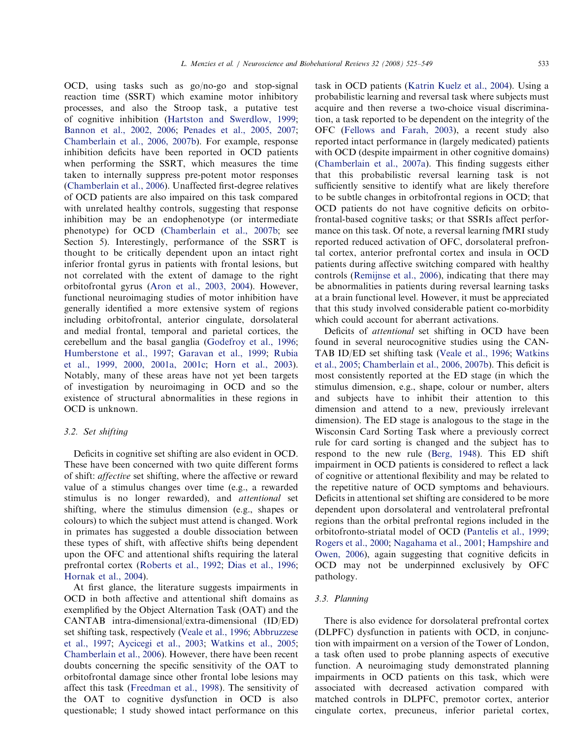OCD, using tasks such as go/no-go and stop-signal reaction time (SSRT) which examine motor inhibitory processes, and also the Stroop task, a putative test of cognitive inhibition (Hartston and Swerdlow, 1999; Bannon et al., 2002, 2006; Penades et al., 2005, 2007; Chamberlain et al., 2006, 2007b). For example, response inhibition deficits have been reported in OCD patients when performing the SSRT, which measures the time taken to internally suppress pre-potent motor responses (Chamberlain et al., 2006). Unaffected first-degree relatives of OCD patients are also impaired on this task compared with unrelated healthy controls, suggesting that response inhibition may be an endophenotype (or intermediate phenotype) for OCD (Chamberlain et al., 2007b; see Section 5). Interestingly, performance of the SSRT is thought to be critically dependent upon an intact right inferior frontal gyrus in patients with frontal lesions, but not correlated with the extent of damage to the right orbitofrontal gyrus (Aron et al., 2003, 2004). However, functional neuroimaging studies of motor inhibition have generally identified a more extensive system of regions including orbitofrontal, anterior cingulate, dorsolateral and medial frontal, temporal and parietal cortices, the cerebellum and the basal ganglia (Godefroy et al., 1996; Humberstone et al., 1997; Garavan et al., 1999; Rubia et al., 1999, 2000, 2001a, 2001c; Horn et al., 2003). Notably, many of these areas have not yet been targets of investigation by neuroimaging in OCD and so the existence of structural abnormalities in these regions in OCD is unknown.

#### 3.2. Set shifting

Deficits in cognitive set shifting are also evident in OCD. These have been concerned with two quite different forms of shift: affective set shifting, where the affective or reward value of a stimulus changes over time (e.g., a rewarded stimulus is no longer rewarded), and *attentional* set shifting, where the stimulus dimension (e.g., shapes or colours) to which the subject must attend is changed. Work in primates has suggested a double dissociation between these types of shift, with affective shifts being dependent upon the OFC and attentional shifts requiring the lateral prefrontal cortex (Roberts et al., 1992; Dias et al., 1996; Hornak et al., 2004).

At first glance, the literature suggests impairments in OCD in both affective and attentional shift domains as exemplified by the Object Alternation Task (OAT) and the CANTAB intra-dimensional/extra-dimensional (ID/ED) set shifting task, respectively (Veale et al., 1996; Abbruzzese et al., 1997; Aycicegi et al., 2003; Watkins et al., 2005; Chamberlain et al., 2006). However, there have been recent doubts concerning the specific sensitivity of the OAT to orbitofrontal damage since other frontal lobe lesions may affect this task (Freedman et al., 1998). The sensitivity of the OAT to cognitive dysfunction in OCD is also questionable; 1 study showed intact performance on this

task in OCD patients (Katrin Kuelz et al., 2004). Using a probabilistic learning and reversal task where subjects must acquire and then reverse a two-choice visual discrimination, a task reported to be dependent on the integrity of the OFC (Fellows and Farah, 2003), a recent study also reported intact performance in (largely medicated) patients with OCD (despite impairment in other cognitive domains) (Chamberlain et al., 2007a). This finding suggests either that this probabilistic reversal learning task is not sufficiently sensitive to identify what are likely therefore to be subtle changes in orbitofrontal regions in OCD; that OCD patients do not have cognitive deficits on orbitofrontal-based cognitive tasks; or that SSRIs affect performance on this task. Of note, a reversal learning fMRI study reported reduced activation of OFC, dorsolateral prefrontal cortex, anterior prefrontal cortex and insula in OCD patients during affective switching compared with healthy controls (Remijnse et al., 2006), indicating that there may be abnormalities in patients during reversal learning tasks at a brain functional level. However, it must be appreciated that this study involved considerable patient co-morbidity which could account for aberrant activations.

Deficits of attentional set shifting in OCD have been found in several neurocognitive studies using the CAN-TAB ID/ED set shifting task (Veale et al., 1996; Watkins et al., 2005; Chamberlain et al., 2006, 2007b). This deficit is most consistently reported at the ED stage (in which the stimulus dimension, e.g., shape, colour or number, alters and subjects have to inhibit their attention to this dimension and attend to a new, previously irrelevant dimension). The ED stage is analogous to the stage in the Wisconsin Card Sorting Task where a previously correct rule for card sorting is changed and the subject has to respond to the new rule (Berg, 1948). This ED shift impairment in OCD patients is considered to reflect a lack of cognitive or attentional flexibility and may be related to the repetitive nature of OCD symptoms and behaviours. Deficits in attentional set shifting are considered to be more dependent upon dorsolateral and ventrolateral prefrontal regions than the orbital prefrontal regions included in the orbitofronto-striatal model of OCD (Pantelis et al., 1999; Rogers et al., 2000; Nagahama et al., 2001; Hampshire and Owen, 2006), again suggesting that cognitive deficits in OCD may not be underpinned exclusively by OFC pathology.

# 3.3. Planning

There is also evidence for dorsolateral prefrontal cortex (DLPFC) dysfunction in patients with OCD, in conjunction with impairment on a version of the Tower of London, a task often used to probe planning aspects of executive function. A neuroimaging study demonstrated planning impairments in OCD patients on this task, which were associated with decreased activation compared with matched controls in DLPFC, premotor cortex, anterior cingulate cortex, precuneus, inferior parietal cortex,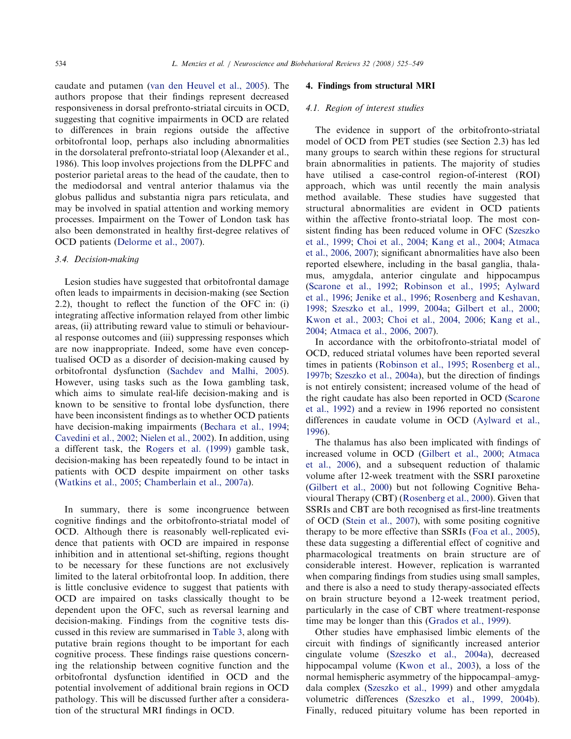caudate and putamen (van den Heuvel et al., 2005). The authors propose that their findings represent decreased responsiveness in dorsal prefronto-striatal circuits in OCD, suggesting that cognitive impairments in OCD are related to differences in brain regions outside the affective orbitofrontal loop, perhaps also including abnormalities in the dorsolateral prefronto-striatal loop (Alexander et al., 1986). This loop involves projections from the DLPFC and posterior parietal areas to the head of the caudate, then to the mediodorsal and ventral anterior thalamus via the globus pallidus and substantia nigra pars reticulata, and may be involved in spatial attention and working memory processes. Impairment on the Tower of London task has also been demonstrated in healthy first-degree relatives of OCD patients (Delorme et al., 2007).

#### 3.4. Decision-making

Lesion studies have suggested that orbitofrontal damage often leads to impairments in decision-making (see Section 2.2), thought to reflect the function of the OFC in: (i) integrating affective information relayed from other limbic areas, (ii) attributing reward value to stimuli or behavioural response outcomes and (iii) suppressing responses which are now inappropriate. Indeed, some have even conceptualised OCD as a disorder of decision-making caused by orbitofrontal dysfunction (Sachdev and Malhi, 2005). However, using tasks such as the Iowa gambling task, which aims to simulate real-life decision-making and is known to be sensitive to frontal lobe dysfunction, there have been inconsistent findings as to whether OCD patients have decision-making impairments (Bechara et al., 1994; Cavedini et al., 2002; Nielen et al., 2002). In addition, using a different task, the Rogers et al. (1999) gamble task, decision-making has been repeatedly found to be intact in patients with OCD despite impairment on other tasks (Watkins et al., 2005; Chamberlain et al., 2007a).

In summary, there is some incongruence between cognitive findings and the orbitofronto-striatal model of OCD. Although there is reasonably well-replicated evidence that patients with OCD are impaired in response inhibition and in attentional set-shifting, regions thought to be necessary for these functions are not exclusively limited to the lateral orbitofrontal loop. In addition, there is little conclusive evidence to suggest that patients with OCD are impaired on tasks classically thought to be dependent upon the OFC, such as reversal learning and decision-making. Findings from the cognitive tests discussed in this review are summarised in Table 3, along with putative brain regions thought to be important for each cognitive process. These findings raise questions concerning the relationship between cognitive function and the orbitofrontal dysfunction identified in OCD and the potential involvement of additional brain regions in OCD pathology. This will be discussed further after a consideration of the structural MRI findings in OCD.

#### 4. Findings from structural MRI

# 4.1. Region of interest studies

The evidence in support of the orbitofronto-striatal model of OCD from PET studies (see Section 2.3) has led many groups to search within these regions for structural brain abnormalities in patients. The majority of studies have utilised a case-control region-of-interest (ROI) approach, which was until recently the main analysis method available. These studies have suggested that structural abnormalities are evident in OCD patients within the affective fronto-striatal loop. The most consistent finding has been reduced volume in OFC (Szeszko et al., 1999; Choi et al., 2004; Kang et al., 2004; Atmaca et al., 2006, 2007); significant abnormalities have also been reported elsewhere, including in the basal ganglia, thalamus, amygdala, anterior cingulate and hippocampus (Scarone et al., 1992; Robinson et al., 1995; Aylward et al., 1996; Jenike et al., 1996; Rosenberg and Keshavan, 1998; Szeszko et al., 1999, 2004a; Gilbert et al., 2000; Kwon et al., 2003; Choi et al., 2004, 2006; Kang et al., 2004; Atmaca et al., 2006, 2007).

In accordance with the orbitofronto-striatal model of OCD, reduced striatal volumes have been reported several times in patients (Robinson et al., 1995; Rosenberg et al., 1997b; Szeszko et al., 2004a), but the direction of findings is not entirely consistent; increased volume of the head of the right caudate has also been reported in OCD (Scarone et al., 1992) and a review in 1996 reported no consistent differences in caudate volume in OCD (Aylward et al., 1996).

The thalamus has also been implicated with findings of increased volume in OCD (Gilbert et al., 2000; Atmaca et al., 2006), and a subsequent reduction of thalamic volume after 12-week treatment with the SSRI paroxetine (Gilbert et al., 2000) but not following Cognitive Behavioural Therapy (CBT) (Rosenberg et al., 2000). Given that SSRIs and CBT are both recognised as first-line treatments of OCD (Stein et al., 2007), with some positing cognitive therapy to be more effective than SSRIs (Foa et al., 2005), these data suggesting a differential effect of cognitive and pharmacological treatments on brain structure are of considerable interest. However, replication is warranted when comparing findings from studies using small samples, and there is also a need to study therapy-associated effects on brain structure beyond a 12-week treatment period, particularly in the case of CBT where treatment-response time may be longer than this (Grados et al., 1999).

Other studies have emphasised limbic elements of the circuit with findings of significantly increased anterior cingulate volume (Szeszko et al., 2004a), decreased hippocampal volume (Kwon et al., 2003), a loss of the normal hemispheric asymmetry of the hippocampal–amygdala complex (Szeszko et al., 1999) and other amygdala volumetric differences (Szeszko et al., 1999, 2004b). Finally, reduced pituitary volume has been reported in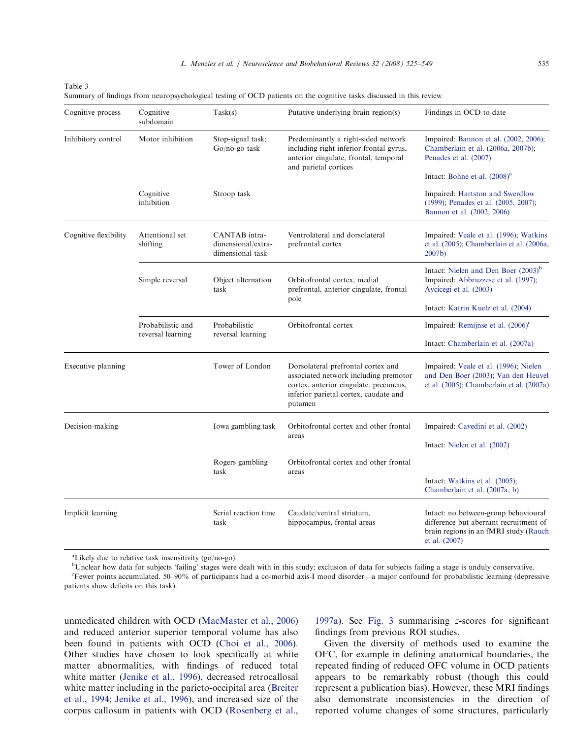Summary of findings from neuropsychological testing of OCD patients on the cognitive tasks discussed in this review

| Cognitive process     | Cognitive<br>subdomain                 | Task(s)                                                 | Putative underlying brain region(s)                                                                                                                                       | Findings in OCD to date                                                                                                                  |
|-----------------------|----------------------------------------|---------------------------------------------------------|---------------------------------------------------------------------------------------------------------------------------------------------------------------------------|------------------------------------------------------------------------------------------------------------------------------------------|
| Inhibitory control    | Motor inhibition                       | Stop-signal task;<br>$Go/no-go task$                    | Predominantly a right-sided network<br>including right inferior frontal gyrus,<br>anterior cingulate, frontal, temporal                                                   | Impaired: Bannon et al. (2002, 2006);<br>Chamberlain et al. (2006a, 2007b);<br>Penades et al. (2007)                                     |
|                       |                                        |                                                         | and parietal cortices                                                                                                                                                     | Intact: Bohne et al. $(2008)^a$                                                                                                          |
|                       | Cognitive<br>inhibition                | Stroop task                                             |                                                                                                                                                                           | Impaired: Hartston and Swerdlow<br>(1999); Penades et al. (2005, 2007);<br>Bannon et al. (2002, 2006)                                    |
| Cognitive flexibility | Attentional set<br>shifting            | CANTAB intra-<br>dimensional/extra-<br>dimensional task | Ventrolateral and dorsolateral<br>prefrontal cortex                                                                                                                       | Impaired: Veale et al. (1996); Watkins<br>et al. (2005); Chamberlain et al. (2006a,<br>$2007b$ )                                         |
|                       | Simple reversal                        | Object alternation<br>task                              | Orbitofrontal cortex, medial<br>prefrontal, anterior cingulate, frontal<br>pole                                                                                           | Intact: Nielen and Den Boer (2003) <sup>b</sup><br>Impaired: Abbruzzese et al. (1997);<br>Aycicegi et al. (2003)                         |
|                       |                                        |                                                         |                                                                                                                                                                           | Intact: Katrin Kuelz et al. (2004)                                                                                                       |
|                       | Probabilistic and<br>reversal learning | Probabilistic<br>reversal learning                      | Orbitofrontal cortex                                                                                                                                                      | Impaired: Remijnse et al. $(2006)^c$                                                                                                     |
|                       |                                        |                                                         |                                                                                                                                                                           | Intact: Chamberlain et al. (2007a)                                                                                                       |
| Executive planning    |                                        | Tower of London                                         | Dorsolateral prefrontal cortex and<br>associated network including premotor<br>cortex, anterior cingulate, precuneus,<br>inferior parietal cortex, caudate and<br>putamen | Impaired: Veale et al. (1996); Nielen<br>and Den Boer (2003); Van den Heuvel<br>et al. (2005); Chamberlain et al. (2007a)                |
| Decision-making       |                                        | Iowa gambling task                                      | Orbitofrontal cortex and other frontal                                                                                                                                    | Impaired: Cavedini et al. (2002)                                                                                                         |
|                       |                                        |                                                         | areas                                                                                                                                                                     | Intact: Nielen et al. (2002)                                                                                                             |
|                       |                                        | Rogers gambling<br>task                                 | Orbitofrontal cortex and other frontal<br>areas                                                                                                                           |                                                                                                                                          |
|                       |                                        |                                                         |                                                                                                                                                                           | Intact: Watkins et al. (2005);<br>Chamberlain et al. (2007a, b)                                                                          |
| Implicit learning     |                                        | Serial reaction time<br>task                            | Caudate/ventral striatum,<br>hippocampus, frontal areas                                                                                                                   | Intact: no between-group behavioural<br>difference but aberrant recruitment of<br>brain regions in an fMRI study (Rauch<br>et al. (2007) |

<sup>a</sup>Likely due to relative task insensitivity (go/no-go).

<sup>b</sup>Unclear how data for subjects 'failing' stages were dealt with in this study; exclusion of data for subjects failing a stage is unduly conservative. c Fewer points accumulated. 50–90% of participants had a co-morbid axis-I mood disorder—a major confound for probabilistic learning (depressive patients show deficits on this task).

unmedicated children with OCD (MacMaster et al., 2006) and reduced anterior superior temporal volume has also been found in patients with OCD (Choi et al., 2006). Other studies have chosen to look specifically at white matter abnormalities, with findings of reduced total white matter (Jenike et al., 1996), decreased retrocallosal white matter including in the parieto-occipital area (Breiter et al., 1994; Jenike et al., 1996), and increased size of the corpus callosum in patients with OCD (Rosenberg et al.,

1997a). See Fig. 3 summarising z-scores for significant findings from previous ROI studies.

Given the diversity of methods used to examine the OFC, for example in defining anatomical boundaries, the repeated finding of reduced OFC volume in OCD patients appears to be remarkably robust (though this could represent a publication bias). However, these MRI findings also demonstrate inconsistencies in the direction of reported volume changes of some structures, particularly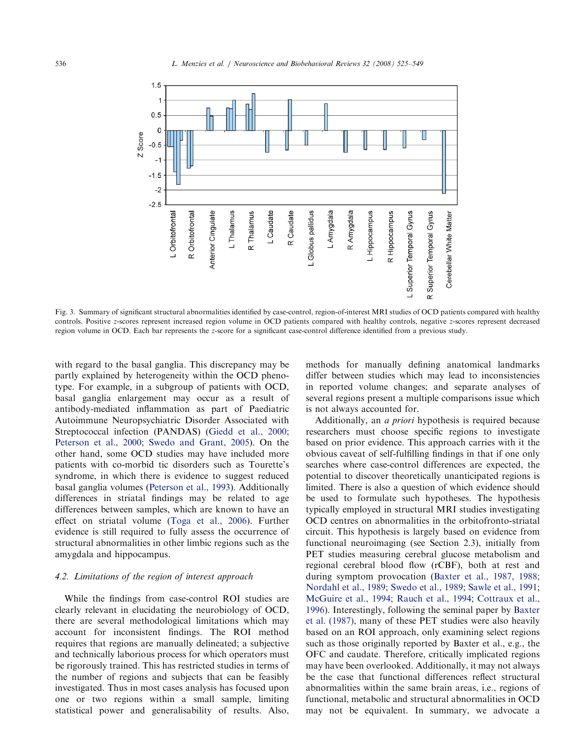

Fig. 3. Summary of significant structural abnormalities identified by case-control, region-of-interest MRI studies of OCD patients compared with healthy controls. Positive z-scores represent increased region volume in OCD patients compared with healthy controls, negative z-scores represent decreased region volume in OCD. Each bar represents the z-score for a significant case-control difference identified from a previous study.

with regard to the basal ganglia. This discrepancy may be partly explained by heterogeneity within the OCD phenotype. For example, in a subgroup of patients with OCD, basal ganglia enlargement may occur as a result of antibody-mediated inflammation as part of Paediatric Autoimmune Neuropsychiatric Disorder Associated with Streptococcal infection (PANDAS) (Giedd et al., 2000; Peterson et al., 2000; Swedo and Grant, 2005). On the other hand, some OCD studies may have included more patients with co-morbid tic disorders such as Tourette's syndrome, in which there is evidence to suggest reduced basal ganglia volumes (Peterson et al., 1993). Additionally differences in striatal findings may be related to age differences between samples, which are known to have an effect on striatal volume (Toga et al., 2006). Further evidence is still required to fully assess the occurrence of structural abnormalities in other limbic regions such as the amygdala and hippocampus.

# 4.2. Limitations of the region of interest approach

While the findings from case-control ROI studies are clearly relevant in elucidating the neurobiology of OCD, there are several methodological limitations which may account for inconsistent findings. The ROI method requires that regions are manually delineated; a subjective and technically laborious process for which operators must be rigorously trained. This has restricted studies in terms of the number of regions and subjects that can be feasibly investigated. Thus in most cases analysis has focused upon one or two regions within a small sample, limiting statistical power and generalisability of results. Also,

methods for manually defining anatomical landmarks differ between studies which may lead to inconsistencies in reported volume changes; and separate analyses of several regions present a multiple comparisons issue which is not always accounted for.

Additionally, an *a priori* hypothesis is required because researchers must choose specific regions to investigate based on prior evidence. This approach carries with it the obvious caveat of self-fulfilling findings in that if one only searches where case-control differences are expected, the potential to discover theoretically unanticipated regions is limited. There is also a question of which evidence should be used to formulate such hypotheses. The hypothesis typically employed in structural MRI studies investigating OCD centres on abnormalities in the orbitofronto-striatal circuit. This hypothesis is largely based on evidence from functional neuroimaging (see Section 2.3), initially from PET studies measuring cerebral glucose metabolism and regional cerebral blood flow (rCBF), both at rest and during symptom provocation (Baxter et al., 1987, 1988; Nordahl et al., 1989; Swedo et al., 1989; Sawle et al., 1991; McGuire et al., 1994; Rauch et al., 1994; Cottraux et al., 1996). Interestingly, following the seminal paper by Baxter et al. (1987), many of these PET studies were also heavily based on an ROI approach, only examining select regions such as those originally reported by Baxter et al., e.g., the OFC and caudate. Therefore, critically implicated regions may have been overlooked. Additionally, it may not always be the case that functional differences reflect structural abnormalities within the same brain areas, i.e., regions of functional, metabolic and structural abnormalities in OCD may not be equivalent. In summary, we advocate a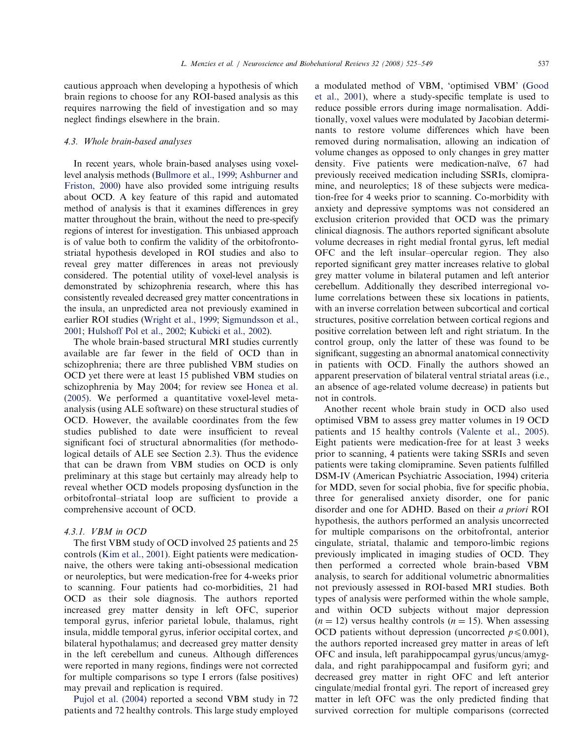cautious approach when developing a hypothesis of which brain regions to choose for any ROI-based analysis as this requires narrowing the field of investigation and so may neglect findings elsewhere in the brain.

#### 4.3. Whole brain-based analyses

In recent years, whole brain-based analyses using voxellevel analysis methods (Bullmore et al., 1999; Ashburner and Friston, 2000) have also provided some intriguing results about OCD. A key feature of this rapid and automated method of analysis is that it examines differences in grey matter throughout the brain, without the need to pre-specify regions of interest for investigation. This unbiased approach is of value both to confirm the validity of the orbitofrontostriatal hypothesis developed in ROI studies and also to reveal grey matter differences in areas not previously considered. The potential utility of voxel-level analysis is demonstrated by schizophrenia research, where this has consistently revealed decreased grey matter concentrations in the insula, an unpredicted area not previously examined in earlier ROI studies (Wright et al., 1999; Sigmundsson et al., 2001; Hulshoff Pol et al., 2002; Kubicki et al., 2002).

The whole brain-based structural MRI studies currently available are far fewer in the field of OCD than in schizophrenia; there are three published VBM studies on OCD yet there were at least 15 published VBM studies on schizophrenia by May 2004; for review see Honea et al. (2005). We performed a quantitative voxel-level metaanalysis (using ALE software) on these structural studies of OCD. However, the available coordinates from the few studies published to date were insufficient to reveal significant foci of structural abnormalities (for methodological details of ALE see Section 2.3). Thus the evidence that can be drawn from VBM studies on OCD is only preliminary at this stage but certainly may already help to reveal whether OCD models proposing dysfunction in the orbitofrontal–striatal loop are sufficient to provide a comprehensive account of OCD.

#### 4.3.1. VBM in OCD

The first VBM study of OCD involved 25 patients and 25 controls (Kim et al., 2001). Eight patients were medicationnaive, the others were taking anti-obsessional medication or neuroleptics, but were medication-free for 4-weeks prior to scanning. Four patients had co-morbidities, 21 had OCD as their sole diagnosis. The authors reported increased grey matter density in left OFC, superior temporal gyrus, inferior parietal lobule, thalamus, right insula, middle temporal gyrus, inferior occipital cortex, and bilateral hypothalamus; and decreased grey matter density in the left cerebellum and cuneus. Although differences were reported in many regions, findings were not corrected for multiple comparisons so type I errors (false positives) may prevail and replication is required.

Pujol et al. (2004) reported a second VBM study in 72 patients and 72 healthy controls. This large study employed

a modulated method of VBM, 'optimised VBM' (Good et al., 2001), where a study-specific template is used to reduce possible errors during image normalisation. Additionally, voxel values were modulated by Jacobian determinants to restore volume differences which have been removed during normalisation, allowing an indication of volume changes as opposed to only changes in grey matter density. Five patients were medication-naïve, 67 had previously received medication including SSRIs, clomipramine, and neuroleptics; 18 of these subjects were medication-free for 4 weeks prior to scanning. Co-morbidity with anxiety and depressive symptoms was not considered an exclusion criterion provided that OCD was the primary clinical diagnosis. The authors reported significant absolute volume decreases in right medial frontal gyrus, left medial OFC and the left insular–opercular region. They also reported significant grey matter increases relative to global grey matter volume in bilateral putamen and left anterior cerebellum. Additionally they described interregional volume correlations between these six locations in patients, with an inverse correlation between subcortical and cortical structures, positive correlation between cortical regions and positive correlation between left and right striatum. In the control group, only the latter of these was found to be significant, suggesting an abnormal anatomical connectivity in patients with OCD. Finally the authors showed an apparent preservation of bilateral ventral striatal areas (i.e., an absence of age-related volume decrease) in patients but not in controls.

Another recent whole brain study in OCD also used optimised VBM to assess grey matter volumes in 19 OCD patients and 15 healthy controls (Valente et al., 2005). Eight patients were medication-free for at least 3 weeks prior to scanning, 4 patients were taking SSRIs and seven patients were taking clomipramine. Seven patients fulfilled DSM-IV (American Psychiatric Association, 1994) criteria for MDD, seven for social phobia, five for specific phobia, three for generalised anxiety disorder, one for panic disorder and one for ADHD. Based on their a priori ROI hypothesis, the authors performed an analysis uncorrected for multiple comparisons on the orbitofrontal, anterior cingulate, striatal, thalamic and temporo-limbic regions previously implicated in imaging studies of OCD. They then performed a corrected whole brain-based VBM analysis, to search for additional volumetric abnormalities not previously assessed in ROI-based MRI studies. Both types of analysis were performed within the whole sample, and within OCD subjects without major depression  $(n = 12)$  versus healthy controls  $(n = 15)$ . When assessing OCD patients without depression (uncorrected  $p \le 0.001$ ), the authors reported increased grey matter in areas of left OFC and insula, left parahippocampal gyrus/uncus/amygdala, and right parahippocampal and fusiform gyri; and decreased grey matter in right OFC and left anterior cingulate/medial frontal gyri. The report of increased grey matter in left OFC was the only predicted finding that survived correction for multiple comparisons (corrected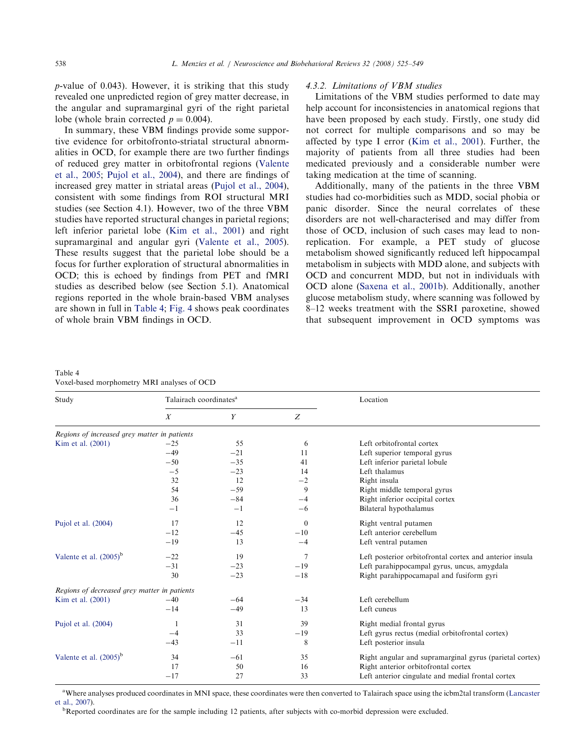p-value of 0.043). However, it is striking that this study revealed one unpredicted region of grey matter decrease, in the angular and supramarginal gyri of the right parietal lobe (whole brain corrected  $p = 0.004$ ).

In summary, these VBM findings provide some supportive evidence for orbitofronto-striatal structural abnormalities in OCD, for example there are two further findings of reduced grey matter in orbitofrontal regions (Valente et al., 2005; Pujol et al., 2004), and there are findings of increased grey matter in striatal areas (Pujol et al., 2004), consistent with some findings from ROI structural MRI studies (see Section 4.1). However, two of the three VBM studies have reported structural changes in parietal regions; left inferior parietal lobe (Kim et al., 2001) and right supramarginal and angular gyri (Valente et al., 2005). These results suggest that the parietal lobe should be a focus for further exploration of structural abnormalities in OCD; this is echoed by findings from PET and fMRI studies as described below (see Section 5.1). Anatomical regions reported in the whole brain-based VBM analyses are shown in full in Table 4; Fig. 4 shows peak coordinates of whole brain VBM findings in OCD.

#### 4.3.2. Limitations of VBM studies

Limitations of the VBM studies performed to date may help account for inconsistencies in anatomical regions that have been proposed by each study. Firstly, one study did not correct for multiple comparisons and so may be affected by type I error (Kim et al., 2001). Further, the majority of patients from all three studies had been medicated previously and a considerable number were taking medication at the time of scanning.

Additionally, many of the patients in the three VBM studies had co-morbidities such as MDD, social phobia or panic disorder. Since the neural correlates of these disorders are not well-characterised and may differ from those of OCD, inclusion of such cases may lead to nonreplication. For example, a PET study of glucose metabolism showed significantly reduced left hippocampal metabolism in subjects with MDD alone, and subjects with OCD and concurrent MDD, but not in individuals with OCD alone (Saxena et al., 2001b). Additionally, another glucose metabolism study, where scanning was followed by 8–12 weeks treatment with the SSRI paroxetine, showed that subsequent improvement in OCD symptoms was

Table 4 Voxel-based morphometry MRI analyses of OCD

| Study                                        | Talairach coordinates <sup>a</sup> |       |                | Location                                                |  |
|----------------------------------------------|------------------------------------|-------|----------------|---------------------------------------------------------|--|
|                                              | $\boldsymbol{X}$                   | Y     | Z              |                                                         |  |
| Regions of increased grey matter in patients |                                    |       |                |                                                         |  |
| Kim et al. (2001)                            | $-25$                              | 55    | 6              | Left orbitofrontal cortex                               |  |
|                                              | $-49$                              | $-21$ | 11             | Left superior temporal gyrus                            |  |
|                                              | $-50$                              | $-35$ | 41             | Left inferior parietal lobule                           |  |
|                                              | $-5$                               | $-23$ | 14             | Left thalamus                                           |  |
|                                              | 32                                 | 12    | $-2$           | Right insula                                            |  |
|                                              | 54                                 | $-59$ | 9              | Right middle temporal gyrus                             |  |
|                                              | 36                                 | $-84$ | $-4$           | Right inferior occipital cortex                         |  |
|                                              | $-1$                               | $-1$  | $-6$           | Bilateral hypothalamus                                  |  |
| Pujol et al. (2004)                          | 17                                 | 12    | $\overline{0}$ | Right ventral putamen                                   |  |
|                                              | $-12$                              | $-45$ | $-10$          | Left anterior cerebellum                                |  |
|                                              | $-19$                              | 13    | $-4$           | Left ventral putamen                                    |  |
| Valente et al. $(2005)^{b}$                  | $-22$                              | 19    | $\overline{7}$ | Left posterior orbitofrontal cortex and anterior insula |  |
|                                              | $-31$                              | $-23$ | $-19$          | Left parahippocampal gyrus, uncus, amygdala             |  |
|                                              | 30                                 | $-23$ | $-18$          | Right parahippocamapal and fusiform gyri                |  |
| Regions of decreased grey matter in patients |                                    |       |                |                                                         |  |
| Kim et al. (2001)                            | $-40$                              | $-64$ | $-34$          | Left cerebellum                                         |  |
|                                              | $-14$                              | $-49$ | 13             | Left cuneus                                             |  |
| Pujol et al. $(2004)$                        |                                    | 31    | 39             | Right medial frontal gyrus                              |  |
|                                              | $-4$                               | 33    | $-19$          | Left gyrus rectus (medial orbitofrontal cortex)         |  |
|                                              | $-43$                              | $-11$ | 8              | Left posterior insula                                   |  |
| Valente et al. $(2005)^{b}$                  | 34                                 | $-61$ | 35             | Right angular and supramarginal gyrus (parietal cortex) |  |
|                                              | 17                                 | 50    | 16             | Right anterior orbitofrontal cortex                     |  |
|                                              | $-17$                              | 27    | 33             | Left anterior cingulate and medial frontal cortex       |  |

a Where analyses produced coordinates in MNI space, these coordinates were then converted to Talairach space using the icbm2tal transform (Lancaster et al., 2007).

<sup>b</sup>Reported coordinates are for the sample including 12 patients, after subjects with co-morbid depression were excluded.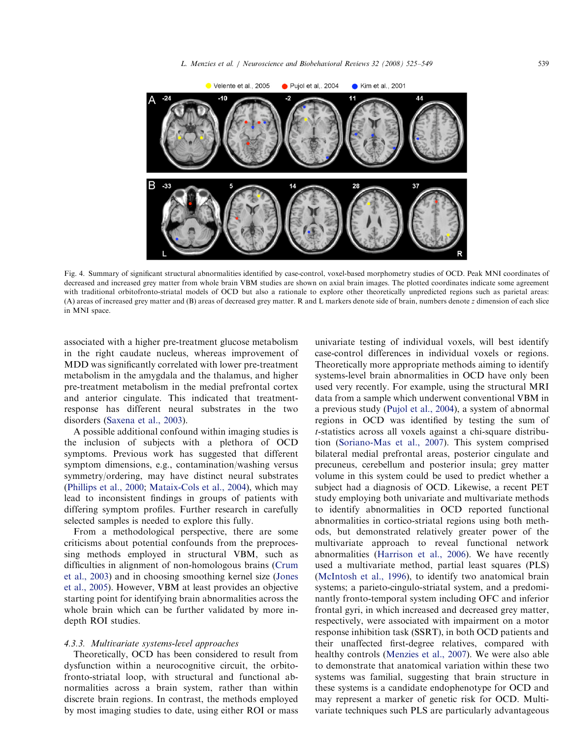

Fig. 4. Summary of significant structural abnormalities identified by case-control, voxel-based morphometry studies of OCD. Peak MNI coordinates of decreased and increased grey matter from whole brain VBM studies are shown on axial brain images. The plotted coordinates indicate some agreement with traditional orbitofronto-striatal models of OCD but also a rationale to explore other theoretically unpredicted regions such as parietal areas: (A) areas of increased grey matter and (B) areas of decreased grey matter. R and L markers denote side of brain, numbers denote z dimension of each slice in MNI space.

associated with a higher pre-treatment glucose metabolism in the right caudate nucleus, whereas improvement of MDD was significantly correlated with lower pre-treatment metabolism in the amygdala and the thalamus, and higher pre-treatment metabolism in the medial prefrontal cortex and anterior cingulate. This indicated that treatmentresponse has different neural substrates in the two disorders (Saxena et al., 2003).

A possible additional confound within imaging studies is the inclusion of subjects with a plethora of OCD symptoms. Previous work has suggested that different symptom dimensions, e.g., contamination/washing versus symmetry/ordering, may have distinct neural substrates (Phillips et al., 2000; Mataix-Cols et al., 2004), which may lead to inconsistent findings in groups of patients with differing symptom profiles. Further research in carefully selected samples is needed to explore this fully.

From a methodological perspective, there are some criticisms about potential confounds from the preprocessing methods employed in structural VBM, such as difficulties in alignment of non-homologous brains (Crum et al., 2003) and in choosing smoothing kernel size (Jones et al., 2005). However, VBM at least provides an objective starting point for identifying brain abnormalities across the whole brain which can be further validated by more indepth ROI studies.

#### 4.3.3. Multivariate systems-level approaches

Theoretically, OCD has been considered to result from dysfunction within a neurocognitive circuit, the orbitofronto-striatal loop, with structural and functional abnormalities across a brain system, rather than within discrete brain regions. In contrast, the methods employed by most imaging studies to date, using either ROI or mass

univariate testing of individual voxels, will best identify case-control differences in individual voxels or regions. Theoretically more appropriate methods aiming to identify systems-level brain abnormalities in OCD have only been used very recently. For example, using the structural MRI data from a sample which underwent conventional VBM in a previous study (Pujol et al., 2004), a system of abnormal regions in OCD was identified by testing the sum of t-statistics across all voxels against a chi-square distribution (Soriano-Mas et al., 2007). This system comprised bilateral medial prefrontal areas, posterior cingulate and precuneus, cerebellum and posterior insula; grey matter volume in this system could be used to predict whether a subject had a diagnosis of OCD. Likewise, a recent PET study employing both univariate and multivariate methods to identify abnormalities in OCD reported functional abnormalities in cortico-striatal regions using both methods, but demonstrated relatively greater power of the multivariate approach to reveal functional network abnormalities (Harrison et al., 2006). We have recently used a multivariate method, partial least squares (PLS) (McIntosh et al., 1996), to identify two anatomical brain systems; a parieto-cingulo-striatal system, and a predominantly fronto-temporal system including OFC and inferior frontal gyri, in which increased and decreased grey matter, respectively, were associated with impairment on a motor response inhibition task (SSRT), in both OCD patients and their unaffected first-degree relatives, compared with healthy controls (Menzies et al., 2007). We were also able to demonstrate that anatomical variation within these two systems was familial, suggesting that brain structure in these systems is a candidate endophenotype for OCD and may represent a marker of genetic risk for OCD. Multivariate techniques such PLS are particularly advantageous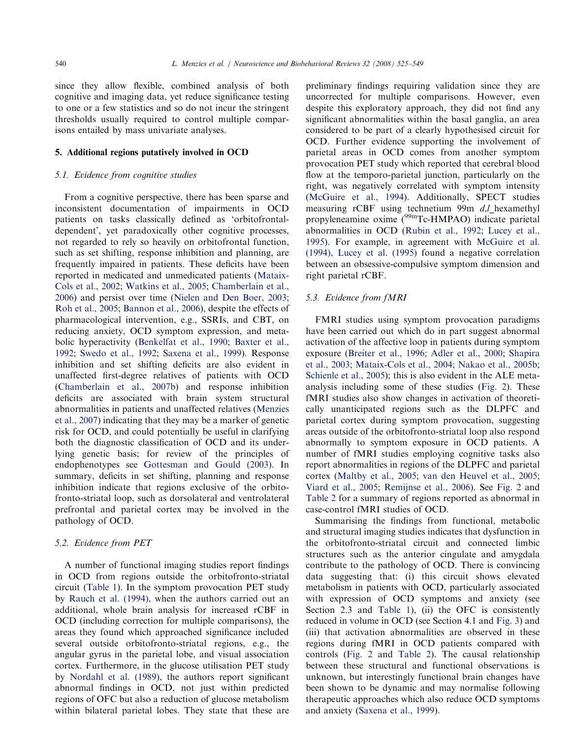since they allow flexible, combined analysis of both cognitive and imaging data, yet reduce significance testing to one or a few statistics and so do not incur the stringent thresholds usually required to control multiple comparisons entailed by mass univariate analyses.

#### 5. Additional regions putatively involved in OCD

# 5.1. Evidence from cognitive studies

From a cognitive perspective, there has been sparse and inconsistent documentation of impairments in OCD patients on tasks classically defined as 'orbitofrontaldependent', yet paradoxically other cognitive processes, not regarded to rely so heavily on orbitofrontal function, such as set shifting, response inhibition and planning, are frequently impaired in patients. These deficits have been reported in medicated and unmedicated patients (Mataix-Cols et al., 2002; Watkins et al., 2005; Chamberlain et al., 2006) and persist over time (Nielen and Den Boer, 2003; Roh et al., 2005; Bannon et al., 2006), despite the effects of pharmacological intervention, e.g., SSRIs, and CBT, on reducing anxiety, OCD symptom expression, and metabolic hyperactivity (Benkelfat et al., 1990; Baxter et al., 1992; Swedo et al., 1992; Saxena et al., 1999). Response inhibition and set shifting deficits are also evident in unaffected first-degree relatives of patients with OCD (Chamberlain et al., 2007b) and response inhibition deficits are associated with brain system structural abnormalities in patients and unaffected relatives (Menzies et al., 2007) indicating that they may be a marker of genetic risk for OCD, and could potentially be useful in clarifying both the diagnostic classification of OCD and its underlying genetic basis; for review of the principles of endophenotypes see Gottesman and Gould (2003). In summary, deficits in set shifting, planning and response inhibition indicate that regions exclusive of the orbitofronto-striatal loop, such as dorsolateral and ventrolateral prefrontal and parietal cortex may be involved in the pathology of OCD.

#### 5.2. Evidence from PET

A number of functional imaging studies report findings in OCD from regions outside the orbitofronto-striatal circuit (Table 1). In the symptom provocation PET study by Rauch et al. (1994), when the authors carried out an additional, whole brain analysis for increased rCBF in OCD (including correction for multiple comparisons), the areas they found which approached significance included several outside orbitofronto-striatal regions, e.g., the angular gyrus in the parietal lobe, and visual association cortex. Furthermore, in the glucose utilisation PET study by Nordahl et al. (1989), the authors report significant abnormal findings in OCD, not just within predicted regions of OFC but also a reduction of glucose metabolism within bilateral parietal lobes. They state that these are

preliminary findings requiring validation since they are uncorrected for multiple comparisons. However, even despite this exploratory approach, they did not find any significant abnormalities within the basal ganglia, an area considered to be part of a clearly hypothesised circuit for OCD. Further evidence supporting the involvement of parietal areas in OCD comes from another symptom provocation PET study which reported that cerebral blood flow at the temporo-parietal junction, particularly on the right, was negatively correlated with symptom intensity (McGuire et al., 1994). Additionally, SPECT studies measuring rCBF using technetium 99m  $d, l$  hexamethyl propyleneamine oxime (<sup>99m</sup>Tc-HMPAO) indicate parietal abnormalities in OCD (Rubin et al., 1992; Lucey et al., 1995). For example, in agreement with McGuire et al. (1994), Lucey et al. (1995) found a negative correlation between an obsessive-compulsive symptom dimension and right parietal rCBF.

## 5.3. Evidence from fMRI

FMRI studies using symptom provocation paradigms have been carried out which do in part suggest abnormal activation of the affective loop in patients during symptom exposure (Breiter et al., 1996; Adler et al., 2000; Shapira et al., 2003; Mataix-Cols et al., 2004; Nakao et al., 2005b; Schienle et al., 2005); this is also evident in the ALE metaanalysis including some of these studies (Fig. 2). These fMRI studies also show changes in activation of theoretically unanticipated regions such as the DLPFC and parietal cortex during symptom provocation, suggesting areas outside of the orbitofronto-striatal loop also respond abnormally to symptom exposure in OCD patients. A number of fMRI studies employing cognitive tasks also report abnormalities in regions of the DLPFC and parietal cortex (Maltby et al., 2005; van den Heuvel et al., 2005; Viard et al., 2005; Remijnse et al., 2006). See Fig. 2 and Table 2 for a summary of regions reported as abnormal in case-control fMRI studies of OCD.

Summarising the findings from functional, metabolic and structural imaging studies indicates that dysfunction in the orbitofronto-striatal circuit and connected limbic structures such as the anterior cingulate and amygdala contribute to the pathology of OCD. There is convincing data suggesting that: (i) this circuit shows elevated metabolism in patients with OCD, particularly associated with expression of OCD symptoms and anxiety (see Section 2.3 and Table 1), (ii) the OFC is consistently reduced in volume in OCD (see Section 4.1 and Fig. 3) and (iii) that activation abnormalities are observed in these regions during fMRI in OCD patients compared with controls (Fig. 2 and Table 2). The causal relationship between these structural and functional observations is unknown, but interestingly functional brain changes have been shown to be dynamic and may normalise following therapeutic approaches which also reduce OCD symptoms and anxiety (Saxena et al., 1999).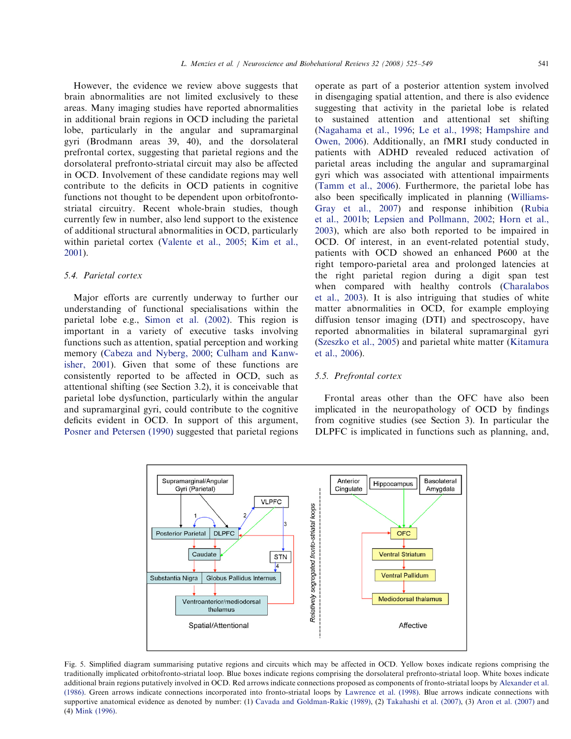However, the evidence we review above suggests that brain abnormalities are not limited exclusively to these areas. Many imaging studies have reported abnormalities in additional brain regions in OCD including the parietal lobe, particularly in the angular and supramarginal gyri (Brodmann areas 39, 40), and the dorsolateral prefrontal cortex, suggesting that parietal regions and the dorsolateral prefronto-striatal circuit may also be affected in OCD. Involvement of these candidate regions may well contribute to the deficits in OCD patients in cognitive functions not thought to be dependent upon orbitofrontostriatal circuitry. Recent whole-brain studies, though currently few in number, also lend support to the existence of additional structural abnormalities in OCD, particularly within parietal cortex (Valente et al., 2005; Kim et al., 2001).

# 5.4. Parietal cortex

Major efforts are currently underway to further our understanding of functional specialisations within the parietal lobe e.g., Simon et al. (2002). This region is important in a variety of executive tasks involving functions such as attention, spatial perception and working memory (Cabeza and Nyberg, 2000; Culham and Kanwisher, 2001). Given that some of these functions are consistently reported to be affected in OCD, such as attentional shifting (see Section 3.2), it is conceivable that parietal lobe dysfunction, particularly within the angular and supramarginal gyri, could contribute to the cognitive deficits evident in OCD. In support of this argument, Posner and Petersen (1990) suggested that parietal regions

operate as part of a posterior attention system involved in disengaging spatial attention, and there is also evidence suggesting that activity in the parietal lobe is related to sustained attention and attentional set shifting (Nagahama et al., 1996; Le et al., 1998; Hampshire and Owen, 2006). Additionally, an fMRI study conducted in patients with ADHD revealed reduced activation of parietal areas including the angular and supramarginal gyri which was associated with attentional impairments (Tamm et al., 2006). Furthermore, the parietal lobe has also been specifically implicated in planning (Williams-Gray et al., 2007) and response inhibition (Rubia et al., 2001b; Lepsien and Pollmann, 2002; Horn et al., 2003), which are also both reported to be impaired in OCD. Of interest, in an event-related potential study, patients with OCD showed an enhanced P600 at the right temporo-parietal area and prolonged latencies at the right parietal region during a digit span test when compared with healthy controls (Charalabos et al., 2003). It is also intriguing that studies of white matter abnormalities in OCD, for example employing diffusion tensor imaging (DTI) and spectroscopy, have reported abnormalities in bilateral supramarginal gyri (Szeszko et al., 2005) and parietal white matter (Kitamura et al., 2006).

# 5.5. Prefrontal cortex

Frontal areas other than the OFC have also been implicated in the neuropathology of OCD by findings from cognitive studies (see Section 3). In particular the DLPFC is implicated in functions such as planning, and,



Fig. 5. Simplified diagram summarising putative regions and circuits which may be affected in OCD. Yellow boxes indicate regions comprising the traditionally implicated orbitofronto-striatal loop. Blue boxes indicate regions comprising the dorsolateral prefronto-striatal loop. White boxes indicate additional brain regions putatively involved in OCD. Red arrows indicate connections proposed as components of fronto-striatal loops by Alexander et al. (1986). Green arrows indicate connections incorporated into fronto-striatal loops by Lawrence et al. (1998). Blue arrows indicate connections with supportive anatomical evidence as denoted by number: (1) Cavada and Goldman-Rakic (1989), (2) Takahashi et al. (2007), (3) Aron et al. (2007) and (4) Mink (1996).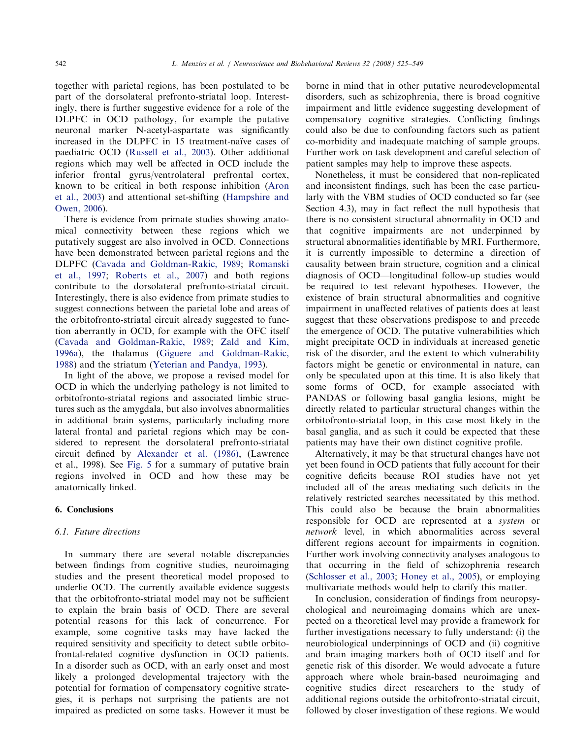together with parietal regions, has been postulated to be part of the dorsolateral prefronto-striatal loop. Interestingly, there is further suggestive evidence for a role of the DLPFC in OCD pathology, for example the putative neuronal marker N-acetyl-aspartate was significantly increased in the DLPFC in 15 treatment-naïve cases of paediatric OCD (Russell et al., 2003). Other additional regions which may well be affected in OCD include the inferior frontal gyrus/ventrolateral prefrontal cortex, known to be critical in both response inhibition (Aron et al., 2003) and attentional set-shifting (Hampshire and Owen, 2006).

There is evidence from primate studies showing anatomical connectivity between these regions which we putatively suggest are also involved in OCD. Connections have been demonstrated between parietal regions and the DLPFC (Cavada and Goldman-Rakic, 1989; Romanski et al., 1997; Roberts et al., 2007) and both regions contribute to the dorsolateral prefronto-striatal circuit. Interestingly, there is also evidence from primate studies to suggest connections between the parietal lobe and areas of the orbitofronto-striatal circuit already suggested to function aberrantly in OCD, for example with the OFC itself (Cavada and Goldman-Rakic, 1989; Zald and Kim, 1996a), the thalamus (Giguere and Goldman-Rakic, 1988) and the striatum (Yeterian and Pandya, 1993).

In light of the above, we propose a revised model for OCD in which the underlying pathology is not limited to orbitofronto-striatal regions and associated limbic structures such as the amygdala, but also involves abnormalities in additional brain systems, particularly including more lateral frontal and parietal regions which may be considered to represent the dorsolateral prefronto-striatal circuit defined by Alexander et al. (1986), (Lawrence et al., 1998). See Fig. 5 for a summary of putative brain regions involved in OCD and how these may be anatomically linked.

# 6. Conclusions

#### 6.1. Future directions

In summary there are several notable discrepancies between findings from cognitive studies, neuroimaging studies and the present theoretical model proposed to underlie OCD. The currently available evidence suggests that the orbitofronto-striatal model may not be sufficient to explain the brain basis of OCD. There are several potential reasons for this lack of concurrence. For example, some cognitive tasks may have lacked the required sensitivity and specificity to detect subtle orbitofrontal-related cognitive dysfunction in OCD patients. In a disorder such as OCD, with an early onset and most likely a prolonged developmental trajectory with the potential for formation of compensatory cognitive strategies, it is perhaps not surprising the patients are not impaired as predicted on some tasks. However it must be

borne in mind that in other putative neurodevelopmental disorders, such as schizophrenia, there is broad cognitive impairment and little evidence suggesting development of compensatory cognitive strategies. Conflicting findings could also be due to confounding factors such as patient co-morbidity and inadequate matching of sample groups. Further work on task development and careful selection of patient samples may help to improve these aspects.

Nonetheless, it must be considered that non-replicated and inconsistent findings, such has been the case particularly with the VBM studies of OCD conducted so far (see Section 4.3), may in fact reflect the null hypothesis that there is no consistent structural abnormality in OCD and that cognitive impairments are not underpinned by structural abnormalities identifiable by MRI. Furthermore, it is currently impossible to determine a direction of causality between brain structure, cognition and a clinical diagnosis of OCD—longitudinal follow-up studies would be required to test relevant hypotheses. However, the existence of brain structural abnormalities and cognitive impairment in unaffected relatives of patients does at least suggest that these observations predispose to and precede the emergence of OCD. The putative vulnerabilities which might precipitate OCD in individuals at increased genetic risk of the disorder, and the extent to which vulnerability factors might be genetic or environmental in nature, can only be speculated upon at this time. It is also likely that some forms of OCD, for example associated with PANDAS or following basal ganglia lesions, might be directly related to particular structural changes within the orbitofronto-striatal loop, in this case most likely in the basal ganglia, and as such it could be expected that these patients may have their own distinct cognitive profile.

Alternatively, it may be that structural changes have not yet been found in OCD patients that fully account for their cognitive deficits because ROI studies have not yet included all of the areas mediating such deficits in the relatively restricted searches necessitated by this method. This could also be because the brain abnormalities responsible for OCD are represented at a system or network level, in which abnormalities across several different regions account for impairments in cognition. Further work involving connectivity analyses analogous to that occurring in the field of schizophrenia research (Schlosser et al., 2003; Honey et al., 2005), or employing multivariate methods would help to clarify this matter.

In conclusion, consideration of findings from neuropsychological and neuroimaging domains which are unexpected on a theoretical level may provide a framework for further investigations necessary to fully understand: (i) the neurobiological underpinnings of OCD and (ii) cognitive and brain imaging markers both of OCD itself and for genetic risk of this disorder. We would advocate a future approach where whole brain-based neuroimaging and cognitive studies direct researchers to the study of additional regions outside the orbitofronto-striatal circuit, followed by closer investigation of these regions. We would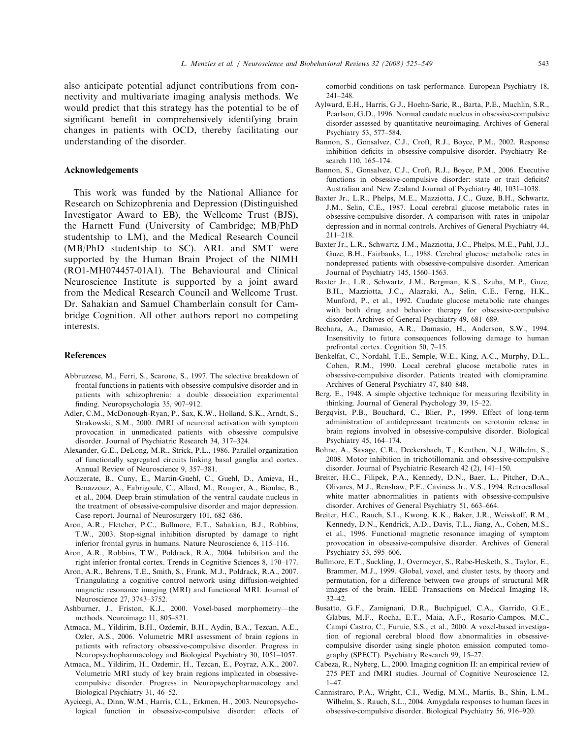also anticipate potential adjunct contributions from connectivity and multivariate imaging analysis methods. We would predict that this strategy has the potential to be of significant benefit in comprehensively identifying brain changes in patients with OCD, thereby facilitating our understanding of the disorder.

# Acknowledgements

This work was funded by the National Alliance for Research on Schizophrenia and Depression (Distinguished Investigator Award to EB), the Wellcome Trust (BJS), the Harnett Fund (University of Cambridge; MB/PhD studentship to LM), and the Medical Research Council (MB/PhD studentship to SC). ARL and SMT were supported by the Human Brain Project of the NIMH (RO1-MH074457-01A1). The Behavioural and Clinical Neuroscience Institute is supported by a joint award from the Medical Research Council and Wellcome Trust. Dr. Sahakian and Samuel Chamberlain consult for Cambridge Cognition. All other authors report no competing interests.

## **References**

- Abbruzzese, M., Ferri, S., Scarone, S., 1997. The selective breakdown of frontal functions in patients with obsessive-compulsive disorder and in patients with schizophrenia: a double dissociation experimental finding. Neuropsychologia 35, 907–912.
- Adler, C.M., McDonough-Ryan, P., Sax, K.W., Holland, S.K., Arndt, S., Strakowski, S.M., 2000. fMRI of neuronal activation with symptom provocation in unmedicated patients with obsessive compulsive disorder. Journal of Psychiatric Research 34, 317–324.
- Alexander, G.E., DeLong, M.R., Strick, P.L., 1986. Parallel organization of functionally segregated circuits linking basal ganglia and cortex. Annual Review of Neuroscience 9, 357–381.
- Aouizerate, B., Cuny, E., Martin-Guehl, C., Guehl, D., Amieva, H., Benazzouz, A., Fabrigoule, C., Allard, M., Rougier, A., Bioulac, B., et al., 2004. Deep brain stimulation of the ventral caudate nucleus in the treatment of obsessive-compulsive disorder and major depression. Case report. Journal of Neurosurgery 101, 682–686.
- Aron, A.R., Fletcher, P.C., Bullmore, E.T., Sahakian, B.J., Robbins, T.W., 2003. Stop-signal inhibition disrupted by damage to right inferior frontal gyrus in humans. Nature Neuroscience 6, 115–116.
- Aron, A.R., Robbins, T.W., Poldrack, R.A., 2004. Inhibition and the right inferior frontal cortex. Trends in Cognitive Sciences 8, 170–177.
- Aron, A.R., Behrens, T.E., Smith, S., Frank, M.J., Poldrack, R.A., 2007. Triangulating a cognitive control network using diffusion-weighted magnetic resonance imaging (MRI) and functional MRI. Journal of Neuroscience 27, 3743–3752.
- Ashburner, J., Friston, K.J., 2000. Voxel-based morphometry—the methods. Neuroimage 11, 805–821.
- Atmaca, M., Yildirim, B.H., Ozdemir, B.H., Aydin, B.A., Tezcan, A.E., Ozler, A.S., 2006. Volumetric MRI assessment of brain regions in patients with refractory obsessive-compulsive disorder. Progress in Neuropsychopharmacology and Biological Psychiatry 30, 1051–1057.
- Atmaca, M., Yildirim, H., Ozdemir, H., Tezcan, E., Poyraz, A.K., 2007. Volumetric MRI study of key brain regions implicated in obsessivecompulsive disorder. Progress in Neuropsychopharmacology and Biological Psychiatry 31, 46–52.
- Aycicegi, A., Dinn, W.M., Harris, C.L., Erkmen, H., 2003. Neuropsychological function in obsessive-compulsive disorder: effects of

comorbid conditions on task performance. European Psychiatry 18, 241–248.

- Aylward, E.H., Harris, G.J., Hoehn-Saric, R., Barta, P.E., Machlin, S.R., Pearlson, G.D., 1996. Normal caudate nucleus in obsessive-compulsive disorder assessed by quantitative neuroimaging. Archives of General Psychiatry 53, 577–584.
- Bannon, S., Gonsalvez, C.J., Croft, R.J., Boyce, P.M., 2002. Response inhibition deficits in obsessive-compulsive disorder. Psychiatry Research 110, 165–174.
- Bannon, S., Gonsalvez, C.J., Croft, R.J., Boyce, P.M., 2006. Executive functions in obsessive-compulsive disorder: state or trait deficits? Australian and New Zealand Journal of Psychiatry 40, 1031–1038.
- Baxter Jr., L.R., Phelps, M.E., Mazziotta, J.C., Guze, B.H., Schwartz, J.M., Selin, C.E., 1987. Local cerebral glucose metabolic rates in obsessive-compulsive disorder. A comparison with rates in unipolar depression and in normal controls. Archives of General Psychiatry 44, 211–218.
- Baxter Jr., L.R., Schwartz, J.M., Mazziotta, J.C., Phelps, M.E., Pahl, J.J., Guze, B.H., Fairbanks, L., 1988. Cerebral glucose metabolic rates in nondepressed patients with obsessive-compulsive disorder. American Journal of Psychiatry 145, 1560–1563.
- Baxter Jr., L.R., Schwartz, J.M., Bergman, K.S., Szuba, M.P., Guze, B.H., Mazziotta, J.C., Alazraki, A., Selin, C.E., Ferng, H.K., Munford, P., et al., 1992. Caudate glucose metabolic rate changes with both drug and behavior therapy for obsessive-compulsive disorder. Archives of General Psychiatry 49, 681–689.
- Bechara, A., Damasio, A.R., Damasio, H., Anderson, S.W., 1994. Insensitivity to future consequences following damage to human prefrontal cortex. Cognition 50, 7–15.
- Benkelfat, C., Nordahl, T.E., Semple, W.E., King, A.C., Murphy, D.L., Cohen, R.M., 1990. Local cerebral glucose metabolic rates in obsessive-compulsive disorder. Patients treated with clomipramine. Archives of General Psychiatry 47, 840–848.
- Berg, E., 1948. A simple objective technique for measuring flexibility in thinking. Journal of General Psychology 39, 15–22.
- Bergqvist, P.B., Bouchard, C., Blier, P., 1999. Effect of long-term administration of antidepressant treatments on serotonin release in brain regions involved in obsessive-compulsive disorder. Biological Psychiatry 45, 164–174.
- Bohne, A., Savage, C.R., Deckersbach, T., Keuthen, N.J., Wilhelm, S., 2008. Motor inhibition in trichotillomania and obsessive-compulsive disorder. Journal of Psychiatric Research 42 (2), 141–150.
- Breiter, H.C., Filipek, P.A., Kennedy, D.N., Baer, L., Pitcher, D.A., Olivares, M.J., Renshaw, P.F., Caviness Jr., V.S., 1994. Retrocallosal white matter abnormalities in patients with obsessive-compulsive disorder. Archives of General Psychiatry 51, 663–664.
- Breiter, H.C., Rauch, S.L., Kwong, K.K., Baker, J.R., Weisskoff, R.M., Kennedy, D.N., Kendrick, A.D., Davis, T.L., Jiang, A., Cohen, M.S., et al., 1996. Functional magnetic resonance imaging of symptom provocation in obsessive-compulsive disorder. Archives of General Psychiatry 53, 595–606.
- Bullmore, E.T., Suckling, J., Overmeyer, S., Rabe-Hesketh, S., Taylor, E., Brammer, M.J., 1999. Global, voxel, and cluster tests, by theory and permutation, for a difference between two groups of structural MR images of the brain. IEEE Transactions on Medical Imaging 18, 32–42.
- Busatto, G.F., Zamignani, D.R., Buchpiguel, C.A., Garrido, G.E., Glabus, M.F., Rocha, E.T., Maia, A.F., Rosario-Campos, M.C., Campi Castro, C., Furuie, S.S., et al., 2000. A voxel-based investigation of regional cerebral blood flow abnormalities in obsessivecompulsive disorder using single photon emission computed tomography (SPECT). Psychiatry Research 99, 15–27.
- Cabeza, R., Nyberg, L., 2000. Imaging cognition II: an empirical review of 275 PET and fMRI studies. Journal of Cognitive Neuroscience 12, 1–47.
- Cannistraro, P.A., Wright, C.I., Wedig, M.M., Martis, B., Shin, L.M., Wilhelm, S., Rauch, S.L., 2004. Amygdala responses to human faces in obsessive-compulsive disorder. Biological Psychiatry 56, 916–920.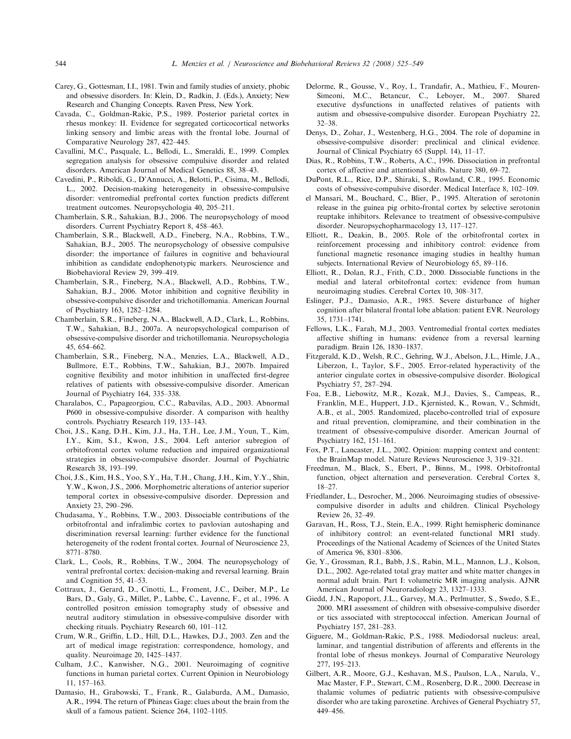- Carey, G., Gottesman, I.I., 1981. Twin and family studies of anxiety, phobic and obsessive disorders. In: Klein, D., Radkin, J. (Eds.), Anxiety; New Research and Changing Concepts. Raven Press, New York.
- Cavada, C., Goldman-Rakic, P.S., 1989. Posterior parietal cortex in rhesus monkey: II. Evidence for segregated corticocortical networks linking sensory and limbic areas with the frontal lobe. Journal of Comparative Neurology 287, 422–445.
- Cavallini, M.C., Pasquale, L., Bellodi, L., Smeraldi, E., 1999. Complex segregation analysis for obsessive compulsive disorder and related disorders. American Journal of Medical Genetics 88, 38–43.
- Cavedini, P., Riboldi, G., D'Annucci, A., Belotti, P., Cisima, M., Bellodi, L., 2002. Decision-making heterogeneity in obsessive-compulsive disorder: ventromedial prefrontal cortex function predicts different treatment outcomes. Neuropsychologia 40, 205–211.
- Chamberlain, S.R., Sahakian, B.J., 2006. The neuropsychology of mood disorders. Current Psychiatry Report 8, 458–463.
- Chamberlain, S.R., Blackwell, A.D., Fineberg, N.A., Robbins, T.W., Sahakian, B.J., 2005. The neuropsychology of obsessive compulsive disorder: the importance of failures in cognitive and behavioural inhibition as candidate endophenotypic markers. Neuroscience and Biobehavioral Review 29, 399–419.
- Chamberlain, S.R., Fineberg, N.A., Blackwell, A.D., Robbins, T.W., Sahakian, B.J., 2006. Motor inhibition and cognitive flexibility in obsessive-compulsive disorder and trichotillomania. American Journal of Psychiatry 163, 1282–1284.
- Chamberlain, S.R., Fineberg, N.A., Blackwell, A.D., Clark, L., Robbins, T.W., Sahakian, B.J., 2007a. A neuropsychological comparison of obsessive-compulsive disorder and trichotillomania. Neuropsychologia 45, 654–662.
- Chamberlain, S.R., Fineberg, N.A., Menzies, L.A., Blackwell, A.D., Bullmore, E.T., Robbins, T.W., Sahakian, B.J., 2007b. Impaired cognitive flexibility and motor inhibition in unaffected first-degree relatives of patients with obsessive-compulsive disorder. American Journal of Psychiatry 164, 335–338.
- Charalabos, C., Papageorgiou, C.C., Rabavilas, A.D., 2003. Abnormal P600 in obsessive-compulsive disorder. A comparison with healthy controls. Psychiatry Research 119, 133–143.
- Choi, J.S., Kang, D.H., Kim, J.J., Ha, T.H., Lee, J.M., Youn, T., Kim, I.Y., Kim, S.I., Kwon, J.S., 2004. Left anterior subregion of orbitofrontal cortex volume reduction and impaired organizational strategies in obsessive-compulsive disorder. Journal of Psychiatric Research 38, 193–199.
- Choi, J.S., Kim, H.S., Yoo, S.Y., Ha, T.H., Chang, J.H., Kim, Y.Y., Shin, Y.W., Kwon, J.S., 2006. Morphometric alterations of anterior superior temporal cortex in obsessive-compulsive disorder. Depression and Anxiety 23, 290–296.
- Chudasama, Y., Robbins, T.W., 2003. Dissociable contributions of the orbitofrontal and infralimbic cortex to pavlovian autoshaping and discrimination reversal learning: further evidence for the functional heterogeneity of the rodent frontal cortex. Journal of Neuroscience 23, 8771–8780.
- Clark, L., Cools, R., Robbins, T.W., 2004. The neuropsychology of ventral prefrontal cortex: decision-making and reversal learning. Brain and Cognition 55, 41–53.
- Cottraux, J., Gerard, D., Cinotti, L., Froment, J.C., Deiber, M.P., Le Bars, D., Galy, G., Millet, P., Labbe, C., Lavenne, F., et al., 1996. A controlled positron emission tomography study of obsessive and neutral auditory stimulation in obsessive-compulsive disorder with checking rituals. Psychiatry Research 60, 101–112.
- Crum, W.R., Griffin, L.D., Hill, D.L., Hawkes, D.J., 2003. Zen and the art of medical image registration: correspondence, homology, and quality. Neuroimage 20, 1425–1437.
- Culham, J.C., Kanwisher, N.G., 2001. Neuroimaging of cognitive functions in human parietal cortex. Current Opinion in Neurobiology 11, 157–163.
- Damasio, H., Grabowski, T., Frank, R., Galaburda, A.M., Damasio, A.R., 1994. The return of Phineas Gage: clues about the brain from the skull of a famous patient. Science 264, 1102–1105.
- Delorme, R., Gousse, V., Roy, I., Trandafir, A., Mathieu, F., Mouren-Simeoni, M.C., Betancur, C., Leboyer, M., 2007. Shared executive dysfunctions in unaffected relatives of patients with autism and obsessive-compulsive disorder. European Psychiatry 22, 32–38.
- Denys, D., Zohar, J., Westenberg, H.G., 2004. The role of dopamine in obsessive-compulsive disorder: preclinical and clinical evidence. Journal of Clinical Psychiatry 65 (Suppl. 14), 11–17.
- Dias, R., Robbins, T.W., Roberts, A.C., 1996. Dissociation in prefrontal cortex of affective and attentional shifts. Nature 380, 69–72.
- DuPont, R.L., Rice, D.P., Shiraki, S., Rowland, C.R., 1995. Economic costs of obsessive-compulsive disorder. Medical Interface 8, 102–109.
- el Mansari, M., Bouchard, C., Blier, P., 1995. Alteration of serotonin release in the guinea pig orbito-frontal cortex by selective serotonin reuptake inhibitors. Relevance to treatment of obsessive-compulsive disorder. Neuropsychopharmacology 13, 117–127.
- Elliott, R., Deakin, B., 2005. Role of the orbitofrontal cortex in reinforcement processing and inhibitory control: evidence from functional magnetic resonance imaging studies in healthy human subjects. International Review of Neurobiology 65, 89–116.
- Elliott, R., Dolan, R.J., Frith, C.D., 2000. Dissociable functions in the medial and lateral orbitofrontal cortex: evidence from human neuroimaging studies. Cerebral Cortex 10, 308–317.
- Eslinger, P.J., Damasio, A.R., 1985. Severe disturbance of higher cognition after bilateral frontal lobe ablation: patient EVR. Neurology 35, 1731–1741.
- Fellows, L.K., Farah, M.J., 2003. Ventromedial frontal cortex mediates affective shifting in humans: evidence from a reversal learning paradigm. Brain 126, 1830–1837.
- Fitzgerald, K.D., Welsh, R.C., Gehring, W.J., Abelson, J.L., Himle, J.A., Liberzon, I., Taylor, S.F., 2005. Error-related hyperactivity of the anterior cingulate cortex in obsessive-compulsive disorder. Biological Psychiatry 57, 287–294.
- Foa, E.B., Liebowitz, M.R., Kozak, M.J., Davies, S., Campeas, R., Franklin, M.E., Huppert, J.D., Kjernisted, K., Rowan, V., Schmidt, A.B., et al., 2005. Randomized, placebo-controlled trial of exposure and ritual prevention, clomipramine, and their combination in the treatment of obsessive-compulsive disorder. American Journal of Psychiatry 162, 151–161.
- Fox, P.T., Lancaster, J.L., 2002. Opinion: mapping context and content: the BrainMap model. Nature Reviews Neuroscience 3, 319–321.
- Freedman, M., Black, S., Ebert, P., Binns, M., 1998. Orbitofrontal function, object alternation and perseveration. Cerebral Cortex 8, 18–27.
- Friedlander, L., Desrocher, M., 2006. Neuroimaging studies of obsessivecompulsive disorder in adults and children. Clinical Psychology Review 26, 32–49.
- Garavan, H., Ross, T.J., Stein, E.A., 1999. Right hemispheric dominance of inhibitory control: an event-related functional MRI study. Proceedings of the National Academy of Sciences of the United States of America 96, 8301–8306.
- Ge, Y., Grossman, R.I., Babb, J.S., Rabin, M.L., Mannon, L.J., Kolson, D.L., 2002. Age-related total gray matter and white matter changes in normal adult brain. Part I: volumetric MR imaging analysis. AJNR American Journal of Neuroradiology 23, 1327–1333.
- Giedd, J.N., Rapoport, J.L., Garvey, M.A., Perlmutter, S., Swedo, S.E., 2000. MRI assessment of children with obsessive-compulsive disorder or tics associated with streptococcal infection. American Journal of Psychiatry 157, 281–283.
- Giguere, M., Goldman-Rakic, P.S., 1988. Mediodorsal nucleus: areal, laminar, and tangential distribution of afferents and efferents in the frontal lobe of rhesus monkeys. Journal of Comparative Neurology 277, 195–213.
- Gilbert, A.R., Moore, G.J., Keshavan, M.S., Paulson, L.A., Narula, V., Mac Master, F.P., Stewart, C.M., Rosenberg, D.R., 2000. Decrease in thalamic volumes of pediatric patients with obsessive-compulsive disorder who are taking paroxetine. Archives of General Psychiatry 57, 449–456.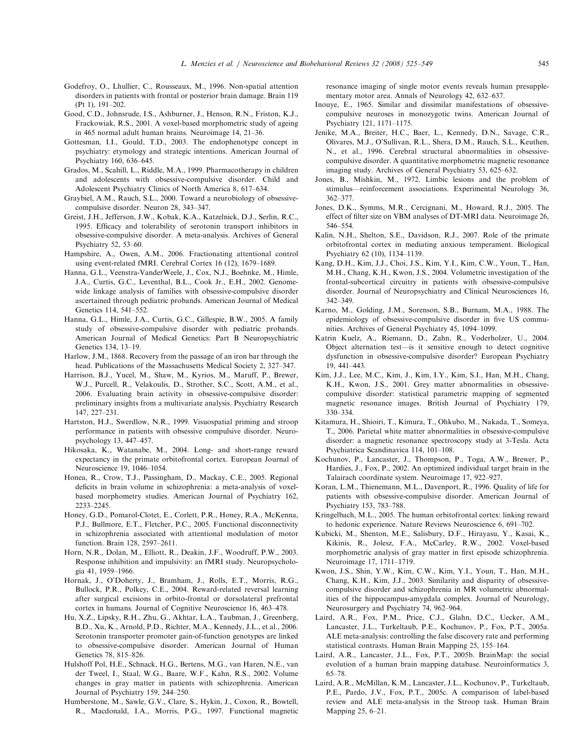- Godefroy, O., Lhullier, C., Rousseaux, M., 1996. Non-spatial attention disorders in patients with frontal or posterior brain damage. Brain 119 (Pt 1), 191–202.
- Good, C.D., Johnsrude, I.S., Ashburner, J., Henson, R.N., Friston, K.J., Frackowiak, R.S., 2001. A voxel-based morphometric study of ageing in 465 normal adult human brains. Neuroimage 14, 21–36.
- Gottesman, I.I., Gould, T.D., 2003. The endophenotype concept in psychiatry: etymology and strategic intentions. American Journal of Psychiatry 160, 636–645.
- Grados, M., Scahill, L., Riddle, M.A., 1999. Pharmacotherapy in children and adolescents with obsessive-compulsive disorder. Child and Adolescent Psychiatry Clinics of North America 8, 617–634.
- Graybiel, A.M., Rauch, S.L., 2000. Toward a neurobiology of obsessivecompulsive disorder. Neuron 28, 343–347.
- Greist, J.H., Jefferson, J.W., Kobak, K.A., Katzelnick, D.J., Serlin, R.C., 1995. Efficacy and tolerability of serotonin transport inhibitors in obsessive-compulsive disorder. A meta-analysis. Archives of General Psychiatry 52, 53–60.
- Hampshire, A., Owen, A.M., 2006. Fractionating attentional control using event-related fMRI. Cerebral Cortex 16 (12), 1679–1689.
- Hanna, G.L., Veenstra-VanderWeele, J., Cox, N.J., Boehnke, M., Himle, J.A., Curtis, G.C., Leventhal, B.L., Cook Jr., E.H., 2002. Genomewide linkage analysis of families with obsessive-compulsive disorder ascertained through pediatric probands. American Journal of Medical Genetics 114, 541–552.
- Hanna, G.L., Himle, J.A., Curtis, G.C., Gillespie, B.W., 2005. A family study of obsessive-compulsive disorder with pediatric probands. American Journal of Medical Genetics: Part B Neuropsychiatric Genetics 134, 13–19.
- Harlow, J.M., 1868. Recovery from the passage of an iron bar through the head. Publications of the Massachusetts Medical Society 2, 327–347.
- Harrison, B.J., Yucel, M., Shaw, M., Kyrios, M., Maruff, P., Brewer, W.J., Purcell, R., Velakoulis, D., Strother, S.C., Scott, A.M., et al., 2006. Evaluating brain activity in obsessive-compulsive disorder: preliminary insights from a multivariate analysis. Psychiatry Research 147, 227–231.
- Hartston, H.J., Swerdlow, N.R., 1999. Visuospatial priming and stroop performance in patients with obsessive compulsive disorder. Neuropsychology 13, 447–457.
- Hikosaka, K., Watanabe, M., 2004. Long- and short-range reward expectancy in the primate orbitofrontal cortex. European Journal of Neuroscience 19, 1046–1054.
- Honea, R., Crow, T.J., Passingham, D., Mackay, C.E., 2005. Regional deficits in brain volume in schizophrenia: a meta-analysis of voxelbased morphometry studies. American Journal of Psychiatry 162, 2233–2245.
- Honey, G.D., Pomarol-Clotet, E., Corlett, P.R., Honey, R.A., McKenna, P.J., Bullmore, E.T., Fletcher, P.C., 2005. Functional disconnectivity in schizophrenia associated with attentional modulation of motor function. Brain 128, 2597–2611.
- Horn, N.R., Dolan, M., Elliott, R., Deakin, J.F., Woodruff, P.W., 2003. Response inhibition and impulsivity: an fMRI study. Neuropsychologia 41, 1959–1966.
- Hornak, J., O'Doherty, J., Bramham, J., Rolls, E.T., Morris, R.G., Bullock, P.R., Polkey, C.E., 2004. Reward-related reversal learning after surgical excisions in orbito-frontal or dorsolateral prefrontal cortex in humans. Journal of Cognitive Neuroscience 16, 463–478.
- Hu, X.Z., Lipsky, R.H., Zhu, G., Akhtar, L.A., Taubman, J., Greenberg, B.D., Xu, K., Arnold, P.D., Richter, M.A., Kennedy, J.L., et al., 2006. Serotonin transporter promoter gain-of-function genotypes are linked to obsessive-compulsive disorder. American Journal of Human Genetics 78, 815–826.
- Hulshoff Pol, H.E., Schnack, H.G., Bertens, M.G., van Haren, N.E., van der Tweel, I., Staal, W.G., Baare, W.F., Kahn, R.S., 2002. Volume changes in gray matter in patients with schizophrenia. American Journal of Psychiatry 159, 244–250.
- Humberstone, M., Sawle, G.V., Clare, S., Hykin, J., Coxon, R., Bowtell, R., Macdonald, I.A., Morris, P.G., 1997. Functional magnetic

resonance imaging of single motor events reveals human presupplementary motor area. Annals of Neurology 42, 632–637.

- Inouye, E., 1965. Similar and dissimilar manifestations of obsessivecompulsive neuroses in monozygotic twins. American Journal of Psychiatry 121, 1171–1175.
- Jenike, M.A., Breiter, H.C., Baer, L., Kennedy, D.N., Savage, C.R., Olivares, M.J., O'Sullivan, R.L., Shera, D.M., Rauch, S.L., Keuthen, N., et al., 1996. Cerebral structural abnormalities in obsessivecompulsive disorder. A quantitative morphometric magnetic resonance imaging study. Archives of General Psychiatry 53, 625–632.
- Jones, B., Mishkin, M., 1972. Limbic lesions and the problem of stimulus—reinforcement associations. Experimental Neurology 36, 362–377.
- Jones, D.K., Symms, M.R., Cercignani, M., Howard, R.J., 2005. The effect of filter size on VBM analyses of DT-MRI data. Neuroimage 26, 546–554.
- Kalin, N.H., Shelton, S.E., Davidson, R.J., 2007. Role of the primate orbitofrontal cortex in mediating anxious temperament. Biological Psychiatry 62 (10), 1134–1139.
- Kang, D.H., Kim, J.J., Choi, J.S., Kim, Y.I., Kim, C.W., Youn, T., Han, M.H., Chang, K.H., Kwon, J.S., 2004. Volumetric investigation of the frontal-subcortical circuitry in patients with obsessive-compulsive disorder. Journal of Neuropsychiatry and Clinical Neurosciences 16, 342–349.
- Karno, M., Golding, J.M., Sorenson, S.B., Burnam, M.A., 1988. The epidemiology of obsessive-compulsive disorder in five US communities. Archives of General Psychiatry 45, 1094–1099.
- Katrin Kuelz, A., Riemann, D., Zahn, R., Voderholzer, U., 2004. Object alternation test—is it sensitive enough to detect cognitive dysfunction in obsessive-compulsive disorder? European Psychiatry 19, 441–443.
- Kim, J.J., Lee, M.C., Kim, J., Kim, I.Y., Kim, S.I., Han, M.H., Chang, K.H., Kwon, J.S., 2001. Grey matter abnormalities in obsessivecompulsive disorder: statistical parametric mapping of segmented magnetic resonance images. British Journal of Psychiatry 179, 330–334.
- Kitamura, H., Shioiri, T., Kimura, T., Ohkubo, M., Nakada, T., Someya, T., 2006. Parietal white matter abnormalities in obsessive-compulsive disorder: a magnetic resonance spectroscopy study at 3-Tesla. Acta Psychiatrica Scandinavica 114, 101–108.
- Kochunov, P., Lancaster, J., Thompson, P., Toga, A.W., Brewer, P., Hardies, J., Fox, P., 2002. An optimized individual target brain in the Talairach coordinate system. Neuroimage 17, 922–927.
- Koran, L.M., Thienemann, M.L., Davenport, R., 1996. Quality of life for patients with obsessive-compulsive disorder. American Journal of Psychiatry 153, 783–788.
- Kringelbach, M.L., 2005. The human orbitofrontal cortex: linking reward to hedonic experience. Nature Reviews Neuroscience 6, 691–702.
- Kubicki, M., Shenton, M.E., Salisbury, D.F., Hirayasu, Y., Kasai, K., Kikinis, R., Jolesz, F.A., McCarley, R.W., 2002. Voxel-based morphometric analysis of gray matter in first episode schizophrenia. Neuroimage 17, 1711–1719.
- Kwon, J.S., Shin, Y.W., Kim, C.W., Kim, Y.I., Youn, T., Han, M.H., Chang, K.H., Kim, J.J., 2003. Similarity and disparity of obsessivecompulsive disorder and schizophrenia in MR volumetric abnormalities of the hippocampus-amygdala complex. Journal of Neurology, Neurosurgery and Psychiatry 74, 962–964.
- Laird, A.R., Fox, P.M., Price, C.J., Glahn, D.C., Uecker, A.M., Lancaster, J.L., Turkeltaub, P.E., Kochunov, P., Fox, P.T., 2005a. ALE meta-analysis: controlling the false discovery rate and performing statistical contrasts. Human Brain Mapping 25, 155–164.
- Laird, A.R., Lancaster, J.L., Fox, P.T., 2005b. BrainMap: the social evolution of a human brain mapping database. Neuroinformatics 3, 65–78.
- Laird, A.R., McMillan, K.M., Lancaster, J.L., Kochunov, P., Turkeltaub, P.E., Pardo, J.V., Fox, P.T., 2005c. A comparison of label-based review and ALE meta-analysis in the Stroop task. Human Brain Mapping 25, 6–21.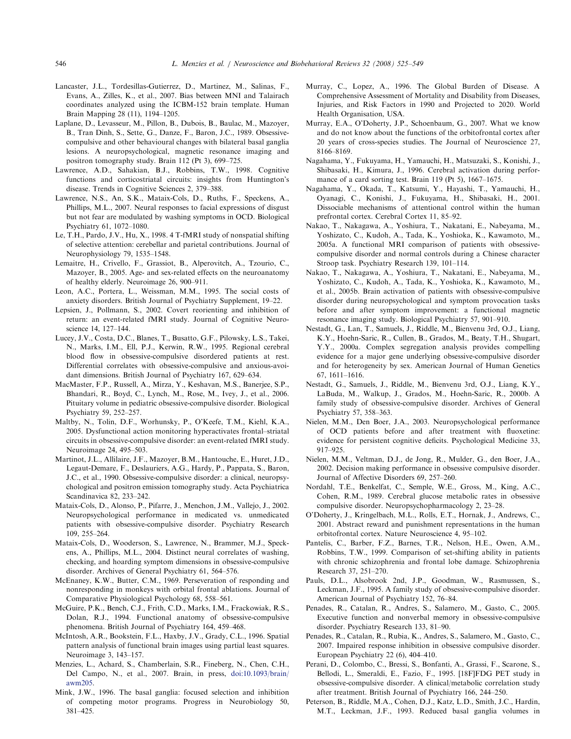- Lancaster, J.L., Tordesillas-Gutierrez, D., Martinez, M., Salinas, F., Evans, A., Zilles, K., et al., 2007. Bias between MNI and Talairach coordinates analyzed using the ICBM-152 brain template. Human Brain Mapping 28 (11), 1194–1205.
- Laplane, D., Levasseur, M., Pillon, B., Dubois, B., Baulac, M., Mazoyer, B., Tran Dinh, S., Sette, G., Danze, F., Baron, J.C., 1989. Obsessivecompulsive and other behavioural changes with bilateral basal ganglia lesions. A neuropsychological, magnetic resonance imaging and positron tomography study. Brain 112 (Pt 3), 699–725.
- Lawrence, A.D., Sahakian, B.J., Robbins, T.W., 1998. Cognitive functions and corticostriatal circuits: insights from Huntington's disease. Trends in Cognitive Sciences 2, 379–388.
- Lawrence, N.S., An, S.K., Mataix-Cols, D., Ruths, F., Speckens, A., Phillips, M.L., 2007. Neural responses to facial expressions of disgust but not fear are modulated by washing symptoms in OCD. Biological Psychiatry 61, 1072–1080.
- Le, T.H., Pardo, J.V., Hu, X., 1998. 4 T-fMRI study of nonspatial shifting of selective attention: cerebellar and parietal contributions. Journal of Neurophysiology 79, 1535–1548.
- Lemaitre, H., Crivello, F., Grassiot, B., Alperovitch, A., Tzourio, C., Mazoyer, B., 2005. Age- and sex-related effects on the neuroanatomy of healthy elderly. Neuroimage 26, 900–911.
- Leon, A.C., Portera, L., Weissman, M.M., 1995. The social costs of anxiety disorders. British Journal of Psychiatry Supplement, 19–22.
- Lepsien, J., Pollmann, S., 2002. Covert reorienting and inhibition of return: an event-related fMRI study. Journal of Cognitive Neuroscience 14, 127–144.
- Lucey, J.V., Costa, D.C., Blanes, T., Busatto, G.F., Pilowsky, L.S., Takei, N., Marks, I.M., Ell, P.J., Kerwin, R.W., 1995. Regional cerebral blood flow in obsessive-compulsive disordered patients at rest. Differential correlates with obsessive-compulsive and anxious-avoidant dimensions. British Journal of Psychiatry 167, 629–634.
- MacMaster, F.P., Russell, A., Mirza, Y., Keshavan, M.S., Banerjee, S.P., Bhandari, R., Boyd, C., Lynch, M., Rose, M., Ivey, J., et al., 2006. Pituitary volume in pediatric obsessive-compulsive disorder. Biological Psychiatry 59, 252–257.
- Maltby, N., Tolin, D.F., Worhunsky, P., O'Keefe, T.M., Kiehl, K.A., 2005. Dysfunctional action monitoring hyperactivates frontal–striatal circuits in obsessive-compulsive disorder: an event-related fMRI study. Neuroimage 24, 495–503.
- Martinot, J.L., Allilaire, J.F., Mazoyer, B.M., Hantouche, E., Huret, J.D., Legaut-Demare, F., Deslauriers, A.G., Hardy, P., Pappata, S., Baron, J.C., et al., 1990. Obsessive-compulsive disorder: a clinical, neuropsychological and positron emission tomography study. Acta Psychiatrica Scandinavica 82, 233–242.
- Mataix-Cols, D., Alonso, P., Pifarre, J., Menchon, J.M., Vallejo, J., 2002. Neuropsychological performance in medicated vs. unmedicated patients with obsessive-compulsive disorder. Psychiatry Research 109, 255–264.
- Mataix-Cols, D., Wooderson, S., Lawrence, N., Brammer, M.J., Speckens, A., Phillips, M.L., 2004. Distinct neural correlates of washing, checking, and hoarding symptom dimensions in obsessive-compulsive disorder. Archives of General Psychiatry 61, 564–576.
- McEnaney, K.W., Butter, C.M., 1969. Perseveration of responding and nonresponding in monkeys with orbital frontal ablations. Journal of Comparative Physiological Psychology 68, 558–561.
- McGuire, P.K., Bench, C.J., Frith, C.D., Marks, I.M., Frackowiak, R.S., Dolan, R.J., 1994. Functional anatomy of obsessive-compulsive phenomena. British Journal of Psychiatry 164, 459–468.
- McIntosh, A.R., Bookstein, F.L., Haxby, J.V., Grady, C.L., 1996. Spatial pattern analysis of functional brain images using partial least squares. Neuroimage 3, 143–157.
- Menzies, L., Achard, S., Chamberlain, S.R., Fineberg, N., Chen, C.H., Del Campo, N., et al., 2007. Brain, in press, doi:10.1093/brain/ awm205.
- Mink, J.W., 1996. The basal ganglia: focused selection and inhibition of competing motor programs. Progress in Neurobiology 50, 381–425.
- Murray, C., Lopez, A., 1996. The Global Burden of Disease. A Comprehensive Assessment of Mortality and Disability from Diseases, Injuries, and Risk Factors in 1990 and Projected to 2020. World Health Organisation, USA.
- Murray, E.A., O'Doherty, J.P., Schoenbaum, G., 2007. What we know and do not know about the functions of the orbitofrontal cortex after 20 years of cross-species studies. The Journal of Neuroscience 27, 8166–8169.
- Nagahama, Y., Fukuyama, H., Yamauchi, H., Matsuzaki, S., Konishi, J., Shibasaki, H., Kimura, J., 1996. Cerebral activation during performance of a card sorting test. Brain 119 (Pt 5), 1667–1675.
- Nagahama, Y., Okada, T., Katsumi, Y., Hayashi, T., Yamauchi, H., Oyanagi, C., Konishi, J., Fukuyama, H., Shibasaki, H., 2001. Dissociable mechanisms of attentional control within the human prefrontal cortex. Cerebral Cortex 11, 85–92.
- Nakao, T., Nakagawa, A., Yoshiura, T., Nakatani, E., Nabeyama, M., Yoshizato, C., Kudoh, A., Tada, K., Yoshioka, K., Kawamoto, M., 2005a. A functional MRI comparison of patients with obsessivecompulsive disorder and normal controls during a Chinese character Stroop task. Psychiatry Research 139, 101–114.
- Nakao, T., Nakagawa, A., Yoshiura, T., Nakatani, E., Nabeyama, M., Yoshizato, C., Kudoh, A., Tada, K., Yoshioka, K., Kawamoto, M., et al., 2005b. Brain activation of patients with obsessive-compulsive disorder during neuropsychological and symptom provocation tasks before and after symptom improvement: a functional magnetic resonance imaging study. Biological Psychiatry 57, 901–910.
- Nestadt, G., Lan, T., Samuels, J., Riddle, M., Bienvenu 3rd, O.J., Liang, K.Y., Hoehn-Saric, R., Cullen, B., Grados, M., Beaty, T.H., Shugart, Y.Y., 2000a. Complex segregation analysis provides compelling evidence for a major gene underlying obsessive-compulsive disorder and for heterogeneity by sex. American Journal of Human Genetics 67, 1611–1616.
- Nestadt, G., Samuels, J., Riddle, M., Bienvenu 3rd, O.J., Liang, K.Y., LaBuda, M., Walkup, J., Grados, M., Hoehn-Saric, R., 2000b. A family study of obsessive-compulsive disorder. Archives of General Psychiatry 57, 358–363.
- Nielen, M.M., Den Boer, J.A., 2003. Neuropsychological performance of OCD patients before and after treatment with fluoxetine: evidence for persistent cognitive deficits. Psychological Medicine 33, 917–925.
- Nielen, M.M., Veltman, D.J., de Jong, R., Mulder, G., den Boer, J.A., 2002. Decision making performance in obsessive compulsive disorder. Journal of Affective Disorders 69, 257–260.
- Nordahl, T.E., Benkelfat, C., Semple, W.E., Gross, M., King, A.C., Cohen, R.M., 1989. Cerebral glucose metabolic rates in obsessive compulsive disorder. Neuropsychopharmacology 2, 23–28.
- O'Doherty, J., Kringelbach, M.L., Rolls, E.T., Hornak, J., Andrews, C., 2001. Abstract reward and punishment representations in the human orbitofrontal cortex. Nature Neuroscience 4, 95–102.
- Pantelis, C., Barber, F.Z., Barnes, T.R., Nelson, H.E., Owen, A.M., Robbins, T.W., 1999. Comparison of set-shifting ability in patients with chronic schizophrenia and frontal lobe damage. Schizophrenia Research 37, 251–270.
- Pauls, D.L., Alsobrook 2nd, J.P., Goodman, W., Rasmussen, S., Leckman, J.F., 1995. A family study of obsessive-compulsive disorder. American Journal of Psychiatry 152, 76–84.
- Penades, R., Catalan, R., Andres, S., Salamero, M., Gasto, C., 2005. Executive function and nonverbal memory in obsessive-compulsive disorder. Psychiatry Research 133, 81–90.
- Penades, R., Catalan, R., Rubia, K., Andres, S., Salamero, M., Gasto, C., 2007. Impaired response inhibition in obsessive compulsive disorder. European Psychiatry 22 (6), 404–410.
- Perani, D., Colombo, C., Bressi, S., Bonfanti, A., Grassi, F., Scarone, S., Bellodi, L., Smeraldi, E., Fazio, F., 1995. [18F]FDG PET study in obsessive-compulsive disorder. A clinical/metabolic correlation study after treatment. British Journal of Psychiatry 166, 244–250.
- Peterson, B., Riddle, M.A., Cohen, D.J., Katz, L.D., Smith, J.C., Hardin, M.T., Leckman, J.F., 1993. Reduced basal ganglia volumes in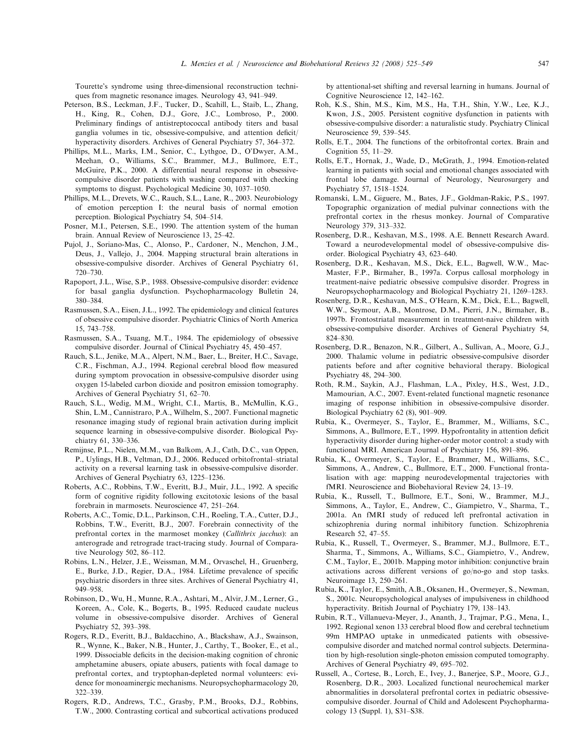Tourette's syndrome using three-dimensional reconstruction techniques from magnetic resonance images. Neurology 43, 941–949.

- Peterson, B.S., Leckman, J.F., Tucker, D., Scahill, L., Staib, L., Zhang, H., King, R., Cohen, D.J., Gore, J.C., Lombroso, P., 2000. Preliminary findings of antistreptococcal antibody titers and basal ganglia volumes in tic, obsessive-compulsive, and attention deficit/ hyperactivity disorders. Archives of General Psychiatry 57, 364–372.
- Phillips, M.L., Marks, I.M., Senior, C., Lythgoe, D., O'Dwyer, A.M., Meehan, O., Williams, S.C., Brammer, M.J., Bullmore, E.T., McGuire, P.K., 2000. A differential neural response in obsessivecompulsive disorder patients with washing compared with checking symptoms to disgust. Psychological Medicine 30, 1037–1050.
- Phillips, M.L., Drevets, W.C., Rauch, S.L., Lane, R., 2003. Neurobiology of emotion perception I: the neural basis of normal emotion perception. Biological Psychiatry 54, 504–514.
- Posner, M.I., Petersen, S.E., 1990. The attention system of the human brain. Annual Review of Neuroscience 13, 25–42.
- Pujol, J., Soriano-Mas, C., Alonso, P., Cardoner, N., Menchon, J.M., Deus, J., Vallejo, J., 2004. Mapping structural brain alterations in obsessive-compulsive disorder. Archives of General Psychiatry 61, 720–730.
- Rapoport, J.L., Wise, S.P., 1988. Obsessive-compulsive disorder: evidence for basal ganglia dysfunction. Psychopharmacology Bulletin 24, 380–384.
- Rasmussen, S.A., Eisen, J.L., 1992. The epidemiology and clinical features of obsessive compulsive disorder. Psychiatric Clinics of North America 15, 743–758.
- Rasmussen, S.A., Tsuang, M.T., 1984. The epidemiology of obsessive compulsive disorder. Journal of Clinical Psychiatry 45, 450–457.
- Rauch, S.L., Jenike, M.A., Alpert, N.M., Baer, L., Breiter, H.C., Savage, C.R., Fischman, A.J., 1994. Regional cerebral blood flow measured during symptom provocation in obsessive-compulsive disorder using oxygen 15-labeled carbon dioxide and positron emission tomography. Archives of General Psychiatry 51, 62–70.
- Rauch, S.L., Wedig, M.M., Wright, C.I., Martis, B., McMullin, K.G., Shin, L.M., Cannistraro, P.A., Wilhelm, S., 2007. Functional magnetic resonance imaging study of regional brain activation during implicit sequence learning in obsessive-compulsive disorder. Biological Psychiatry 61, 330–336.
- Remijnse, P.L., Nielen, M.M., van Balkom, A.J., Cath, D.C., van Oppen, P., Uylings, H.B., Veltman, D.J., 2006. Reduced orbitofrontal–striatal activity on a reversal learning task in obsessive-compulsive disorder. Archives of General Psychiatry 63, 1225–1236.
- Roberts, A.C., Robbins, T.W., Everitt, B.J., Muir, J.L., 1992. A specific form of cognitive rigidity following excitotoxic lesions of the basal forebrain in marmosets. Neuroscience 47, 251–264.
- Roberts, A.C., Tomic, D.L., Parkinson, C.H., Roeling, T.A., Cutter, D.J., Robbins, T.W., Everitt, B.J., 2007. Forebrain connectivity of the prefrontal cortex in the marmoset monkey (Callithrix jacchus): an anterograde and retrograde tract-tracing study. Journal of Comparative Neurology 502, 86–112.
- Robins, L.N., Helzer, J.E., Weissman, M.M., Orvaschel, H., Gruenberg, E., Burke, J.D., Regier, D.A., 1984. Lifetime prevalence of specific psychiatric disorders in three sites. Archives of General Psychiatry 41, 949–958.
- Robinson, D., Wu, H., Munne, R.A., Ashtari, M., Alvir, J.M., Lerner, G., Koreen, A., Cole, K., Bogerts, B., 1995. Reduced caudate nucleus volume in obsessive-compulsive disorder. Archives of General Psychiatry 52, 393–398.
- Rogers, R.D., Everitt, B.J., Baldacchino, A., Blackshaw, A.J., Swainson, R., Wynne, K., Baker, N.B., Hunter, J., Carthy, T., Booker, E., et al., 1999. Dissociable deficits in the decision-making cognition of chronic amphetamine abusers, opiate abusers, patients with focal damage to prefrontal cortex, and tryptophan-depleted normal volunteers: evidence for monoaminergic mechanisms. Neuropsychopharmacology 20, 322–339.
- Rogers, R.D., Andrews, T.C., Grasby, P.M., Brooks, D.J., Robbins, T.W., 2000. Contrasting cortical and subcortical activations produced

by attentional-set shifting and reversal learning in humans. Journal of Cognitive Neuroscience 12, 142–162.

- Roh, K.S., Shin, M.S., Kim, M.S., Ha, T.H., Shin, Y.W., Lee, K.J., Kwon, J.S., 2005. Persistent cognitive dysfunction in patients with obsessive-compulsive disorder: a naturalistic study. Psychiatry Clinical Neuroscience 59, 539–545.
- Rolls, E.T., 2004. The functions of the orbitofrontal cortex. Brain and Cognition 55, 11–29.
- Rolls, E.T., Hornak, J., Wade, D., McGrath, J., 1994. Emotion-related learning in patients with social and emotional changes associated with frontal lobe damage. Journal of Neurology, Neurosurgery and Psychiatry 57, 1518–1524.
- Romanski, L.M., Giguere, M., Bates, J.F., Goldman-Rakic, P.S., 1997. Topographic organization of medial pulvinar connections with the prefrontal cortex in the rhesus monkey. Journal of Comparative Neurology 379, 313–332.
- Rosenberg, D.R., Keshavan, M.S., 1998. A.E. Bennett Research Award. Toward a neurodevelopmental model of obsessive-compulsive disorder. Biological Psychiatry 43, 623–640.
- Rosenberg, D.R., Keshavan, M.S., Dick, E.L., Bagwell, W.W., Mac-Master, F.P., Birmaher, B., 1997a. Corpus callosal morphology in treatment-naive pediatric obsessive compulsive disorder. Progress in Neuropsychopharmacology and Biological Psychiatry 21, 1269–1283.
- Rosenberg, D.R., Keshavan, M.S., O'Hearn, K.M., Dick, E.L., Bagwell, W.W., Seymour, A.B., Montrose, D.M., Pierri, J.N., Birmaher, B., 1997b. Frontostriatal measurement in treatment-naive children with obsessive-compulsive disorder. Archives of General Psychiatry 54, 824–830.
- Rosenberg, D.R., Benazon, N.R., Gilbert, A., Sullivan, A., Moore, G.J., 2000. Thalamic volume in pediatric obsessive-compulsive disorder patients before and after cognitive behavioral therapy. Biological Psychiatry 48, 294–300.
- Roth, R.M., Saykin, A.J., Flashman, L.A., Pixley, H.S., West, J.D., Mamourian, A.C., 2007. Event-related functional magnetic resonance imaging of response inhibition in obsessive-compulsive disorder. Biological Psychiatry 62 (8), 901–909.
- Rubia, K., Overmeyer, S., Taylor, E., Brammer, M., Williams, S.C., Simmons, A., Bullmore, E.T., 1999. Hypofrontality in attention deficit hyperactivity disorder during higher-order motor control: a study with functional MRI. American Journal of Psychiatry 156, 891–896.
- Rubia, K., Overmeyer, S., Taylor, E., Brammer, M., Williams, S.C., Simmons, A., Andrew, C., Bullmore, E.T., 2000. Functional frontalisation with age: mapping neurodevelopmental trajectories with fMRI. Neuroscience and Biobehavioral Review 24, 13–19.
- Rubia, K., Russell, T., Bullmore, E.T., Soni, W., Brammer, M.J., Simmons, A., Taylor, E., Andrew, C., Giampietro, V., Sharma, T., 2001a. An fMRI study of reduced left prefrontal activation in schizophrenia during normal inhibitory function. Schizophrenia Research 52, 47–55.
- Rubia, K., Russell, T., Overmeyer, S., Brammer, M.J., Bullmore, E.T., Sharma, T., Simmons, A., Williams, S.C., Giampietro, V., Andrew, C.M., Taylor, E., 2001b. Mapping motor inhibition: conjunctive brain activations across different versions of go/no-go and stop tasks. Neuroimage 13, 250–261.
- Rubia, K., Taylor, E., Smith, A.B., Oksanen, H., Overmeyer, S., Newman, S., 2001c. Neuropsychological analyses of impulsiveness in childhood hyperactivity. British Journal of Psychiatry 179, 138–143.
- Rubin, R.T., Villanueva-Meyer, J., Ananth, J., Trajmar, P.G., Mena, I., 1992. Regional xenon 133 cerebral blood flow and cerebral technetium 99m HMPAO uptake in unmedicated patients with obsessivecompulsive disorder and matched normal control subjects. Determination by high-resolution single-photon emission computed tomography. Archives of General Psychiatry 49, 695–702.
- Russell, A., Cortese, B., Lorch, E., Ivey, J., Banerjee, S.P., Moore, G.J., Rosenberg, D.R., 2003. Localized functional neurochemical marker abnormalities in dorsolateral prefrontal cortex in pediatric obsessivecompulsive disorder. Journal of Child and Adolescent Psychopharmacology 13 (Suppl. 1), S31–S38.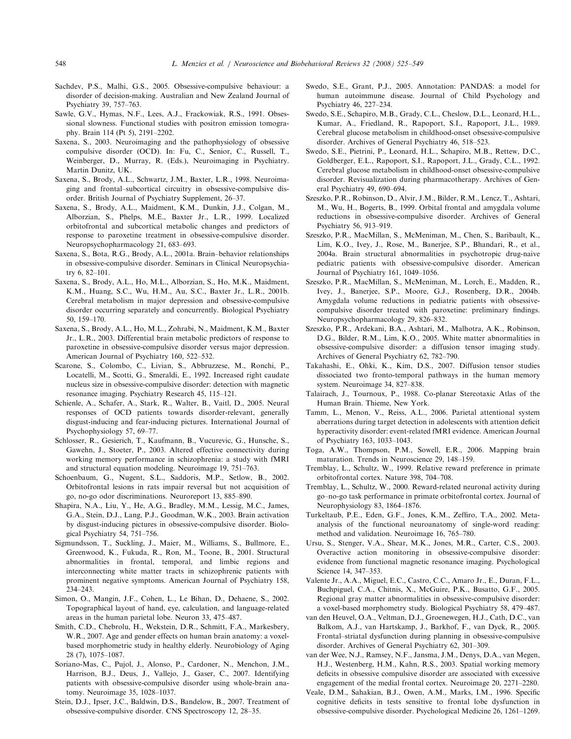- Sachdev, P.S., Malhi, G.S., 2005. Obsessive-compulsive behaviour: a disorder of decision-making. Australian and New Zealand Journal of Psychiatry 39, 757–763.
- Sawle, G.V., Hymas, N.F., Lees, A.J., Frackowiak, R.S., 1991. Obsessional slowness. Functional studies with positron emission tomography. Brain 114 (Pt 5), 2191–2202.
- Saxena, S., 2003. Neuroimaging and the pathophysiology of obsessive compulsive disorder (OCD). In: Fu, C., Senior, C., Russell, T., Weinberger, D., Murray, R. (Eds.), Neuroimaging in Psychiatry. Martin Dunitz, UK.
- Saxena, S., Brody, A.L., Schwartz, J.M., Baxter, L.R., 1998. Neuroimaging and frontal–subcortical circuitry in obsessive-compulsive disorder. British Journal of Psychiatry Supplement, 26–37.
- Saxena, S., Brody, A.L., Maidment, K.M., Dunkin, J.J., Colgan, M., Alborzian, S., Phelps, M.E., Baxter Jr., L.R., 1999. Localized orbitofrontal and subcortical metabolic changes and predictors of response to paroxetine treatment in obsessive-compulsive disorder. Neuropsychopharmacology 21, 683–693.
- Saxena, S., Bota, R.G., Brody, A.L., 2001a. Brain–behavior relationships in obsessive-compulsive disorder. Seminars in Clinical Neuropsychiatry 6, 82–101.
- Saxena, S., Brody, A.L., Ho, M.L., Alborzian, S., Ho, M.K., Maidment, K.M., Huang, S.C., Wu, H.M., Au, S.C., Baxter Jr., L.R., 2001b. Cerebral metabolism in major depression and obsessive-compulsive disorder occurring separately and concurrently. Biological Psychiatry 50, 159–170.
- Saxena, S., Brody, A.L., Ho, M.L., Zohrabi, N., Maidment, K.M., Baxter Jr., L.R., 2003. Differential brain metabolic predictors of response to paroxetine in obsessive-compulsive disorder versus major depression. American Journal of Psychiatry 160, 522–532.
- Scarone, S., Colombo, C., Livian, S., Abbruzzese, M., Ronchi, P., Locatelli, M., Scotti, G., Smeraldi, E., 1992. Increased right caudate nucleus size in obsessive-compulsive disorder: detection with magnetic resonance imaging. Psychiatry Research 45, 115–121.
- Schienle, A., Schafer, A., Stark, R., Walter, B., Vaitl, D., 2005. Neural responses of OCD patients towards disorder-relevant, generally disgust-inducing and fear-inducing pictures. International Journal of Psychophysiology 57, 69–77.
- Schlosser, R., Gesierich, T., Kaufmann, B., Vucurevic, G., Hunsche, S., Gawehn, J., Stoeter, P., 2003. Altered effective connectivity during working memory performance in schizophrenia: a study with fMRI and structural equation modeling. Neuroimage 19, 751–763.
- Schoenbaum, G., Nugent, S.L., Saddoris, M.P., Setlow, B., 2002. Orbitofrontal lesions in rats impair reversal but not acquisition of go, no-go odor discriminations. Neuroreport 13, 885–890.
- Shapira, N.A., Liu, Y., He, A.G., Bradley, M.M., Lessig, M.C., James, G.A., Stein, D.J., Lang, P.J., Goodman, W.K., 2003. Brain activation by disgust-inducing pictures in obsessive-compulsive disorder. Biological Psychiatry 54, 751–756.
- Sigmundsson, T., Suckling, J., Maier, M., Williams, S., Bullmore, E., Greenwood, K., Fukuda, R., Ron, M., Toone, B., 2001. Structural abnormalities in frontal, temporal, and limbic regions and interconnecting white matter tracts in schizophrenic patients with prominent negative symptoms. American Journal of Psychiatry 158, 234–243.
- Simon, O., Mangin, J.F., Cohen, L., Le Bihan, D., Dehaene, S., 2002. Topographical layout of hand, eye, calculation, and language-related areas in the human parietal lobe. Neuron 33, 475–487.
- Smith, C.D., Chebrolu, H., Wekstein, D.R., Schmitt, F.A., Markesbery, W.R., 2007. Age and gender effects on human brain anatomy: a voxelbased morphometric study in healthy elderly. Neurobiology of Aging 28 (7), 1075–1087.
- Soriano-Mas, C., Pujol, J., Alonso, P., Cardoner, N., Menchon, J.M., Harrison, B.J., Deus, J., Vallejo, J., Gaser, C., 2007. Identifying patients with obsessive-compulsive disorder using whole-brain anatomy. Neuroimage 35, 1028–1037.
- Stein, D.J., Ipser, J.C., Baldwin, D.S., Bandelow, B., 2007. Treatment of obsessive-compulsive disorder. CNS Spectroscopy 12, 28–35.
- Swedo, S.E., Grant, P.J., 2005. Annotation: PANDAS: a model for human autoimmune disease. Journal of Child Psychology and Psychiatry 46, 227–234.
- Swedo, S.E., Schapiro, M.B., Grady, C.L., Cheslow, D.L., Leonard, H.L., Kumar, A., Friedland, R., Rapoport, S.I., Rapoport, J.L., 1989. Cerebral glucose metabolism in childhood-onset obsessive-compulsive disorder. Archives of General Psychiatry 46, 518–523.
- Swedo, S.E., Pietrini, P., Leonard, H.L., Schapiro, M.B., Rettew, D.C., Goldberger, E.L., Rapoport, S.I., Rapoport, J.L., Grady, C.L., 1992. Cerebral glucose metabolism in childhood-onset obsessive-compulsive disorder. Revisualization during pharmacotherapy. Archives of General Psychiatry 49, 690–694.
- Szeszko, P.R., Robinson, D., Alvir, J.M., Bilder, R.M., Lencz, T., Ashtari, M., Wu, H., Bogerts, B., 1999. Orbital frontal and amygdala volume reductions in obsessive-compulsive disorder. Archives of General Psychiatry 56, 913–919.
- Szeszko, P.R., MacMillan, S., McMeniman, M., Chen, S., Baribault, K., Lim, K.O., Ivey, J., Rose, M., Banerjee, S.P., Bhandari, R., et al., 2004a. Brain structural abnormalities in psychotropic drug-naive pediatric patients with obsessive-compulsive disorder. American Journal of Psychiatry 161, 1049–1056.
- Szeszko, P.R., MacMillan, S., McMeniman, M., Lorch, E., Madden, R., Ivey, J., Banerjee, S.P., Moore, G.J., Rosenberg, D.R., 2004b. Amygdala volume reductions in pediatric patients with obsessivecompulsive disorder treated with paroxetine: preliminary findings. Neuropsychopharmacology 29, 826–832.
- Szeszko, P.R., Ardekani, B.A., Ashtari, M., Malhotra, A.K., Robinson, D.G., Bilder, R.M., Lim, K.O., 2005. White matter abnormalities in obsessive-compulsive disorder: a diffusion tensor imaging study. Archives of General Psychiatry 62, 782–790.
- Takahashi, E., Ohki, K., Kim, D.S., 2007. Diffusion tensor studies dissociated two fronto-temporal pathways in the human memory system. Neuroimage 34, 827–838.
- Talairach, J., Tournoux, P., 1988. Co-planar Stereotaxic Atlas of the Human Brain. Thieme, New York.
- Tamm, L., Menon, V., Reiss, A.L., 2006. Parietal attentional system aberrations during target detection in adolescents with attention deficit hyperactivity disorder: event-related fMRI evidence. American Journal of Psychiatry 163, 1033–1043.
- Toga, A.W., Thompson, P.M., Sowell, E.R., 2006. Mapping brain maturation. Trends in Neuroscience 29, 148–159.
- Tremblay, L., Schultz, W., 1999. Relative reward preference in primate orbitofrontal cortex. Nature 398, 704–708.
- Tremblay, L., Schultz, W., 2000. Reward-related neuronal activity during go–no-go task performance in primate orbitofrontal cortex. Journal of Neurophysiology 83, 1864–1876.
- Turkeltaub, P.E., Eden, G.F., Jones, K.M., Zeffiro, T.A., 2002. Metaanalysis of the functional neuroanatomy of single-word reading: method and validation. Neuroimage 16, 765–780.
- Ursu, S., Stenger, V.A., Shear, M.K., Jones, M.R., Carter, C.S., 2003. Overactive action monitoring in obsessive-compulsive disorder: evidence from functional magnetic resonance imaging. Psychological Science 14, 347–353.
- Valente Jr., A.A., Miguel, E.C., Castro, C.C., Amaro Jr., E., Duran, F.L., Buchpiguel, C.A., Chitnis, X., McGuire, P.K., Busatto, G.F., 2005. Regional gray matter abnormalities in obsessive-compulsive disorder: a voxel-based morphometry study. Biological Psychiatry 58, 479–487.
- van den Heuvel, O.A., Veltman, D.J., Groenewegen, H.J., Cath, D.C., van Balkom, A.J., van Hartskamp, J., Barkhof, F., van Dyck, R., 2005. Frontal–striatal dysfunction during planning in obsessive-compulsive disorder. Archives of General Psychiatry 62, 301–309.
- van der Wee, N.J., Ramsey, N.F., Jansma, J.M., Denys, D.A., van Megen, H.J., Westenberg, H.M., Kahn, R.S., 2003. Spatial working memory deficits in obsessive compulsive disorder are associated with excessive engagement of the medial frontal cortex. Neuroimage 20, 2271–2280.
- Veale, D.M., Sahakian, B.J., Owen, A.M., Marks, I.M., 1996. Specific cognitive deficits in tests sensitive to frontal lobe dysfunction in obsessive-compulsive disorder. Psychological Medicine 26, 1261–1269.